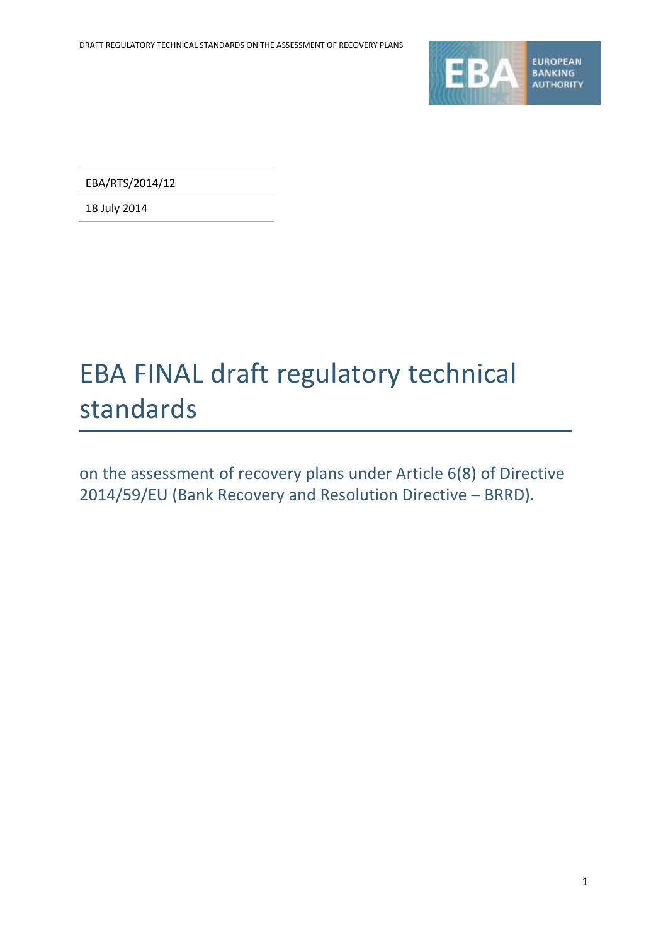

EBA/RTS/2014/12

18 July 2014

# EBA FINAL draft regulatory technical standards

on the assessment of recovery plans under Article 6(8) of Directive 2014/59/EU (Bank Recovery and Resolution Directive – BRRD).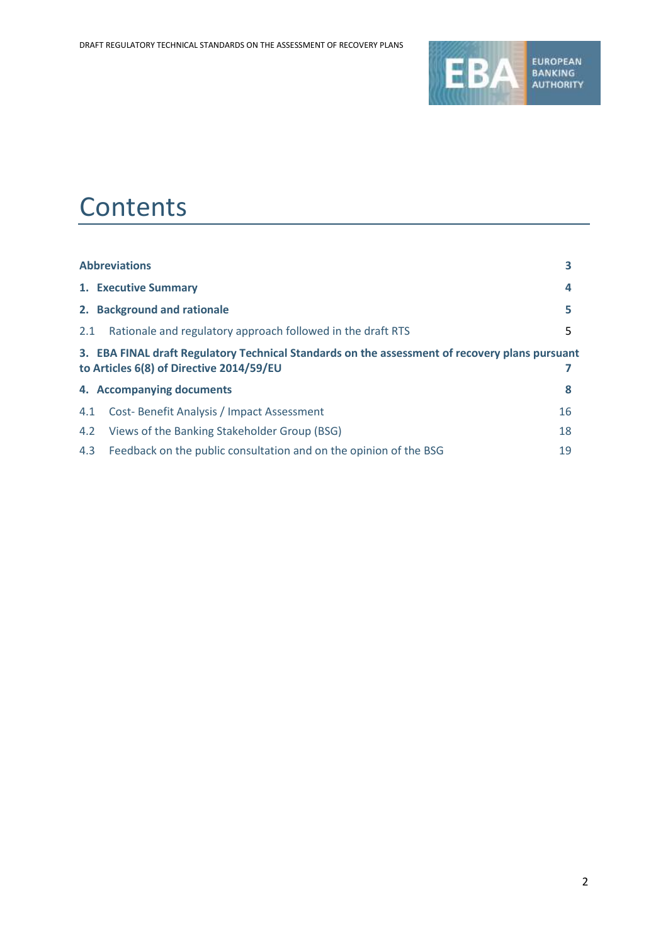

## **Contents**

|     | <b>Abbreviations</b>                                                                                                                       | 3  |
|-----|--------------------------------------------------------------------------------------------------------------------------------------------|----|
|     | 1. Executive Summary                                                                                                                       | 4  |
|     | 2. Background and rationale                                                                                                                | 5  |
| 2.1 | Rationale and regulatory approach followed in the draft RTS                                                                                | 5. |
|     | 3. EBA FINAL draft Regulatory Technical Standards on the assessment of recovery plans pursuant<br>to Articles 6(8) of Directive 2014/59/EU |    |
|     | 4. Accompanying documents                                                                                                                  | 8  |
| 4.1 | Cost-Benefit Analysis / Impact Assessment                                                                                                  | 16 |
| 4.2 | Views of the Banking Stakeholder Group (BSG)                                                                                               | 18 |
| 4.3 | Feedback on the public consultation and on the opinion of the BSG                                                                          | 19 |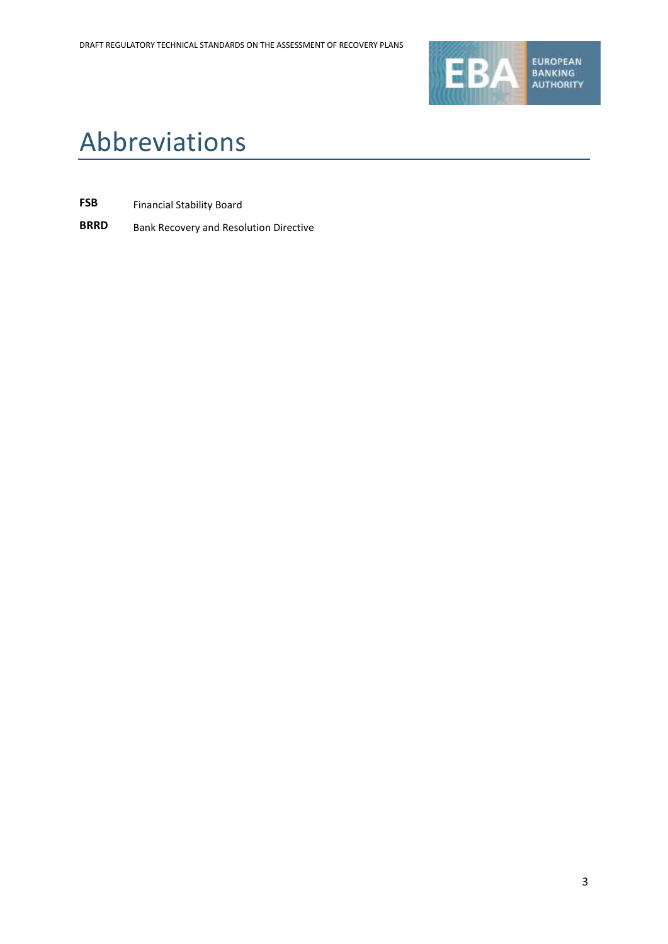

# Abbreviations

- **FSB** Financial Stability Board
- **BRRD** Bank Recovery and Resolution Directive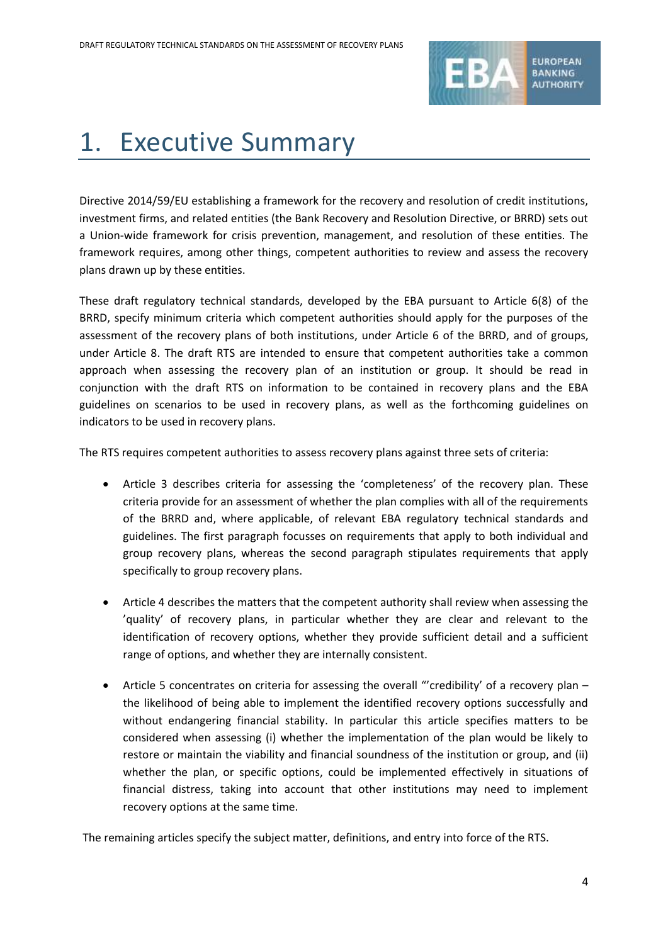

# 1. Executive Summary

Directive 2014/59/EU establishing a framework for the recovery and resolution of credit institutions, investment firms, and related entities (the Bank Recovery and Resolution Directive, or BRRD) sets out a Union-wide framework for crisis prevention, management, and resolution of these entities. The framework requires, among other things, competent authorities to review and assess the recovery plans drawn up by these entities.

These draft regulatory technical standards, developed by the EBA pursuant to Article 6(8) of the BRRD, specify minimum criteria which competent authorities should apply for the purposes of the assessment of the recovery plans of both institutions, under Article 6 of the BRRD, and of groups, under Article 8. The draft RTS are intended to ensure that competent authorities take a common approach when assessing the recovery plan of an institution or group. It should be read in conjunction with the draft RTS on information to be contained in recovery plans and the EBA guidelines on scenarios to be used in recovery plans, as well as the forthcoming guidelines on indicators to be used in recovery plans.

The RTS requires competent authorities to assess recovery plans against three sets of criteria:

- Article 3 describes criteria for assessing the 'completeness' of the recovery plan. These criteria provide for an assessment of whether the plan complies with all of the requirements of the BRRD and, where applicable, of relevant EBA regulatory technical standards and guidelines. The first paragraph focusses on requirements that apply to both individual and group recovery plans, whereas the second paragraph stipulates requirements that apply specifically to group recovery plans.
- Article 4 describes the matters that the competent authority shall review when assessing the 'quality' of recovery plans, in particular whether they are clear and relevant to the identification of recovery options, whether they provide sufficient detail and a sufficient range of options, and whether they are internally consistent.
- Article 5 concentrates on criteria for assessing the overall "'credibility' of a recovery plan the likelihood of being able to implement the identified recovery options successfully and without endangering financial stability. In particular this article specifies matters to be considered when assessing (i) whether the implementation of the plan would be likely to restore or maintain the viability and financial soundness of the institution or group, and (ii) whether the plan, or specific options, could be implemented effectively in situations of financial distress, taking into account that other institutions may need to implement recovery options at the same time.

The remaining articles specify the subject matter, definitions, and entry into force of the RTS.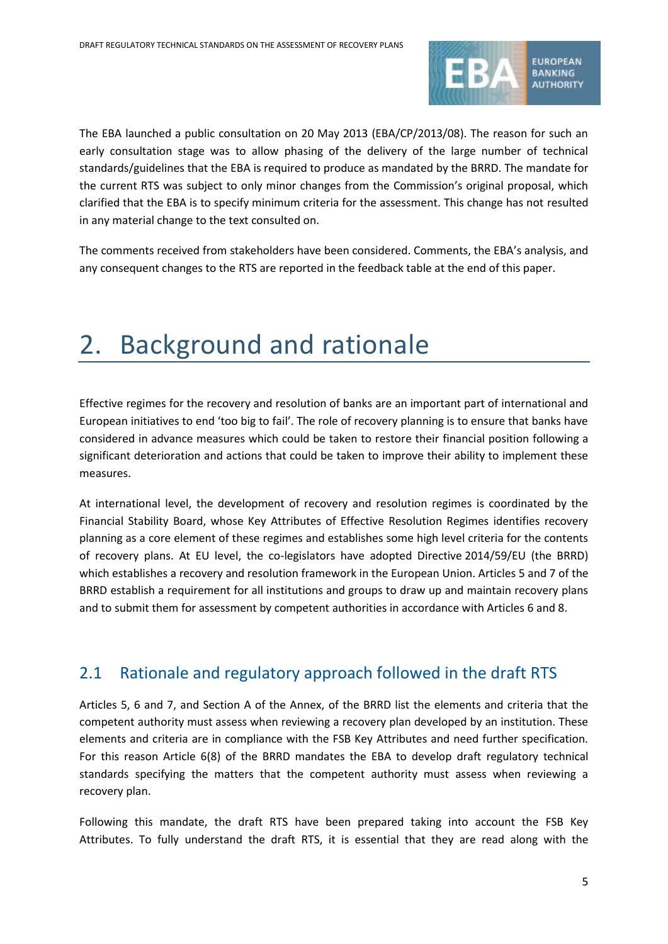

The EBA launched a public consultation on 20 May 2013 (EBA/CP/2013/08). The reason for such an early consultation stage was to allow phasing of the delivery of the large number of technical standards/guidelines that the EBA is required to produce as mandated by the BRRD. The mandate for the current RTS was subject to only minor changes from the Commission's original proposal, which clarified that the EBA is to specify minimum criteria for the assessment. This change has not resulted in any material change to the text consulted on.

The comments received from stakeholders have been considered. Comments, the EBA's analysis, and any consequent changes to the RTS are reported in the feedback table at the end of this paper.

# 2. Background and rationale

Effective regimes for the recovery and resolution of banks are an important part of international and European initiatives to end 'too big to fail'. The role of recovery planning is to ensure that banks have considered in advance measures which could be taken to restore their financial position following a significant deterioration and actions that could be taken to improve their ability to implement these measures.

At international level, the development of recovery and resolution regimes is coordinated by the Financial Stability Board, whose Key Attributes of Effective Resolution Regimes identifies recovery planning as a core element of these regimes and establishes some high level criteria for the contents of recovery plans. At EU level, the co-legislators have adopted Directive 2014/59/EU (the BRRD) which establishes a recovery and resolution framework in the European Union. Articles 5 and 7 of the BRRD establish a requirement for all institutions and groups to draw up and maintain recovery plans and to submit them for assessment by competent authorities in accordance with Articles 6 and 8.

### 2.1 Rationale and regulatory approach followed in the draft RTS

Articles 5, 6 and 7, and Section A of the Annex, of the BRRD list the elements and criteria that the competent authority must assess when reviewing a recovery plan developed by an institution. These elements and criteria are in compliance with the FSB Key Attributes and need further specification. For this reason Article 6(8) of the BRRD mandates the EBA to develop draft regulatory technical standards specifying the matters that the competent authority must assess when reviewing a recovery plan.

Following this mandate, the draft RTS have been prepared taking into account the FSB Key Attributes. To fully understand the draft RTS, it is essential that they are read along with the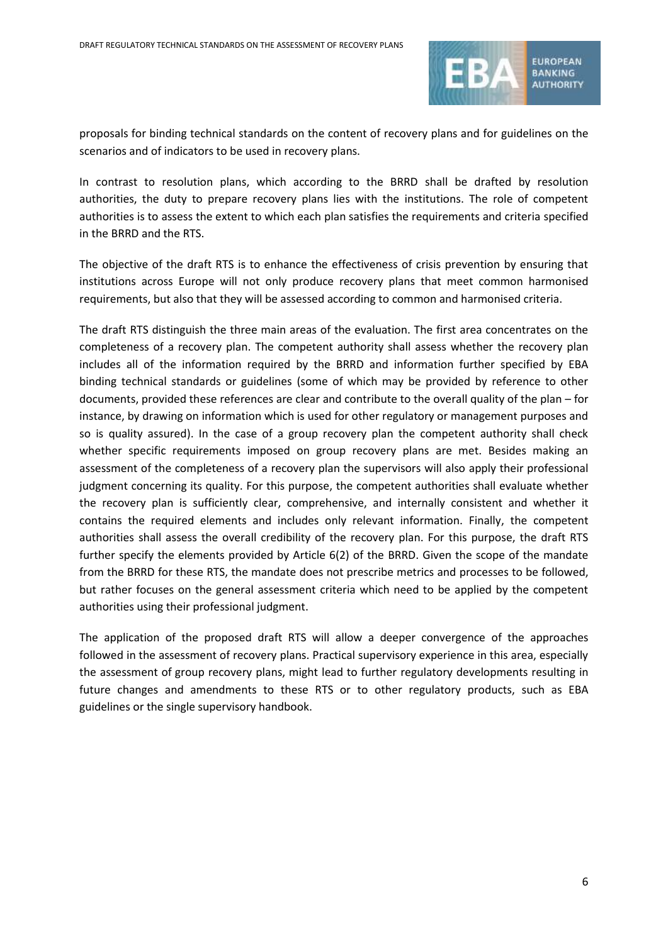

proposals for binding technical standards on the content of recovery plans and for guidelines on the scenarios and of indicators to be used in recovery plans.

In contrast to resolution plans, which according to the BRRD shall be drafted by resolution authorities, the duty to prepare recovery plans lies with the institutions. The role of competent authorities is to assess the extent to which each plan satisfies the requirements and criteria specified in the BRRD and the RTS.

The objective of the draft RTS is to enhance the effectiveness of crisis prevention by ensuring that institutions across Europe will not only produce recovery plans that meet common harmonised requirements, but also that they will be assessed according to common and harmonised criteria.

The draft RTS distinguish the three main areas of the evaluation. The first area concentrates on the completeness of a recovery plan. The competent authority shall assess whether the recovery plan includes all of the information required by the BRRD and information further specified by EBA binding technical standards or guidelines (some of which may be provided by reference to other documents, provided these references are clear and contribute to the overall quality of the plan – for instance, by drawing on information which is used for other regulatory or management purposes and so is quality assured). In the case of a group recovery plan the competent authority shall check whether specific requirements imposed on group recovery plans are met. Besides making an assessment of the completeness of a recovery plan the supervisors will also apply their professional judgment concerning its quality. For this purpose, the competent authorities shall evaluate whether the recovery plan is sufficiently clear, comprehensive, and internally consistent and whether it contains the required elements and includes only relevant information. Finally, the competent authorities shall assess the overall credibility of the recovery plan. For this purpose, the draft RTS further specify the elements provided by Article 6(2) of the BRRD. Given the scope of the mandate from the BRRD for these RTS, the mandate does not prescribe metrics and processes to be followed, but rather focuses on the general assessment criteria which need to be applied by the competent authorities using their professional judgment.

The application of the proposed draft RTS will allow a deeper convergence of the approaches followed in the assessment of recovery plans. Practical supervisory experience in this area, especially the assessment of group recovery plans, might lead to further regulatory developments resulting in future changes and amendments to these RTS or to other regulatory products, such as EBA guidelines or the single supervisory handbook.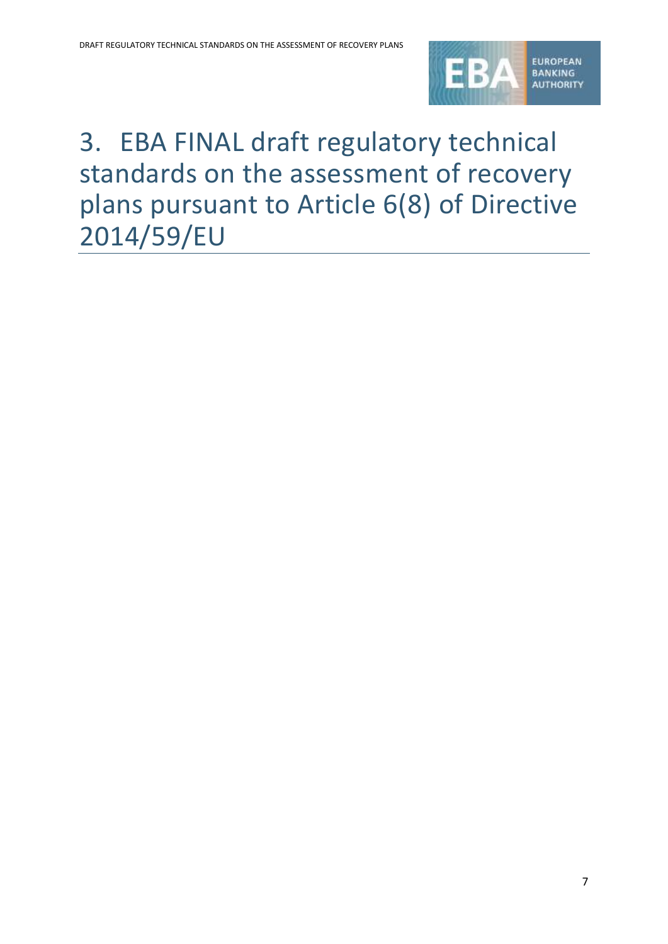

# 3. EBA FINAL draft regulatory technical standards on the assessment of recovery plans pursuant to Article 6(8) of Directive 2014/59/EU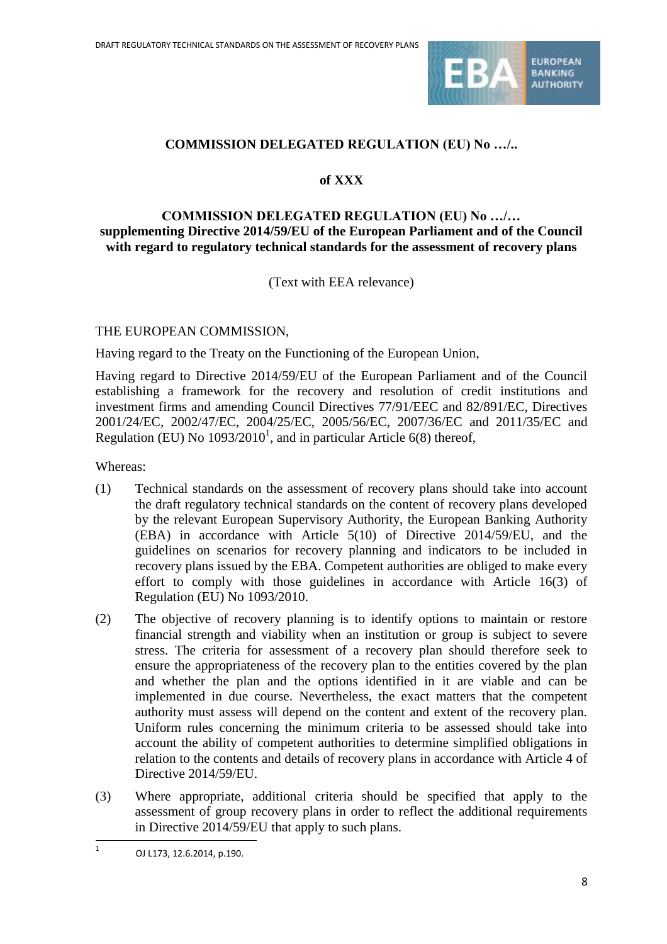

### **COMMISSION DELEGATED REGULATION (EU) No …/..**

### **of XXX**

### **COMMISSION DELEGATED REGULATION (EU) No …/… supplementing Directive 2014/59/EU of the European Parliament and of the Council with regard to regulatory technical standards for the assessment of recovery plans**

(Text with EEA relevance)

### THE EUROPEAN COMMISSION,

Having regard to the Treaty on the Functioning of the European Union,

Having regard to Directive 2014/59/EU of the European Parliament and of the Council establishing a framework for the recovery and resolution of credit institutions and investment firms and amending Council Directives 77/91/EEC and 82/891/EC, Directives 2001/24/EC, 2002/47/EC, 2004/25/EC, 2005/56/EC, 2007/36/EC and 2011/35/EC and Regulation (EU) No  $1093/2010<sup>1</sup>$ , and in particular Article 6(8) thereof,

Whereas:

- (1) Technical standards on the assessment of recovery plans should take into account the draft regulatory technical standards on the content of recovery plans developed by the relevant European Supervisory Authority, the European Banking Authority (EBA) in accordance with Article 5(10) of Directive 2014/59/EU, and the guidelines on scenarios for recovery planning and indicators to be included in recovery plans issued by the EBA. Competent authorities are obliged to make every effort to comply with those guidelines in accordance with Article 16(3) of Regulation (EU) No 1093/2010.
- (2) The objective of recovery planning is to identify options to maintain or restore financial strength and viability when an institution or group is subject to severe stress. The criteria for assessment of a recovery plan should therefore seek to ensure the appropriateness of the recovery plan to the entities covered by the plan and whether the plan and the options identified in it are viable and can be implemented in due course. Nevertheless, the exact matters that the competent authority must assess will depend on the content and extent of the recovery plan. Uniform rules concerning the minimum criteria to be assessed should take into account the ability of competent authorities to determine simplified obligations in relation to the contents and details of recovery plans in accordance with Article 4 of Directive 2014/59/EU.
- (3) Where appropriate, additional criteria should be specified that apply to the assessment of group recovery plans in order to reflect the additional requirements in Directive 2014/59/EU that apply to such plans.

1

<sup>1</sup> OJ L173, 12.6.2014, p.190.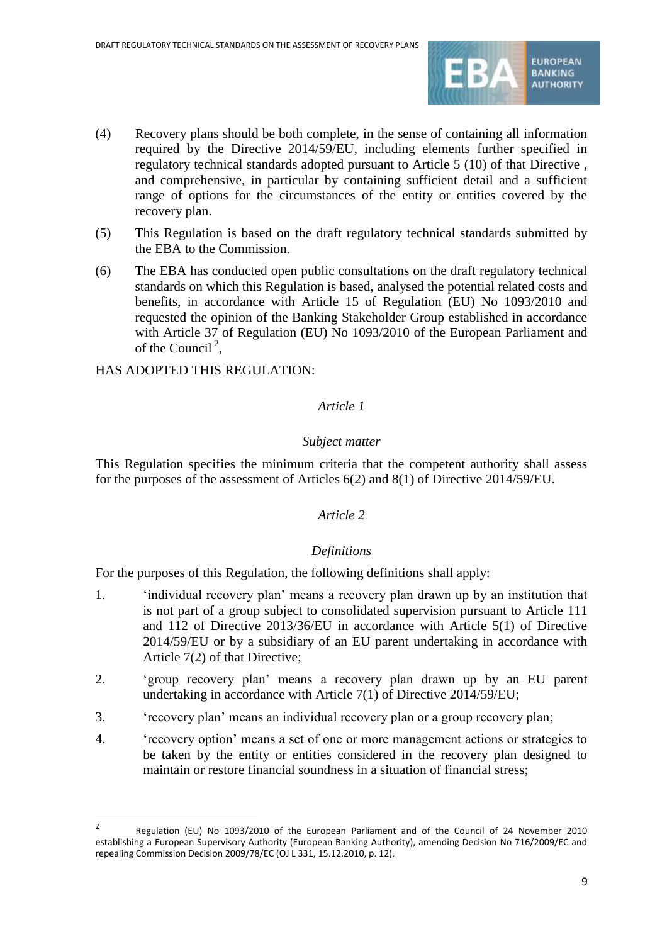

- (4) Recovery plans should be both complete, in the sense of containing all information required by the Directive 2014/59/EU, including elements further specified in regulatory technical standards adopted pursuant to Article 5 (10) of that Directive , and comprehensive, in particular by containing sufficient detail and a sufficient range of options for the circumstances of the entity or entities covered by the recovery plan.
- (5) This Regulation is based on the draft regulatory technical standards submitted by the EBA to the Commission.
- (6) The EBA has conducted open public consultations on the draft regulatory technical standards on which this Regulation is based, analysed the potential related costs and benefits, in accordance with Article 15 of Regulation (EU) No 1093/2010 and requested the opinion of the Banking Stakeholder Group established in accordance with Article 37 of Regulation (EU) No 1093/2010 of the European Parliament and of the Council<sup>2</sup>,

HAS ADOPTED THIS REGULATION:

1

### *Article 1*

### *Subject matter*

This Regulation specifies the minimum criteria that the competent authority shall assess for the purposes of the assessment of Articles 6(2) and 8(1) of Directive 2014/59/EU.

### *Article 2*

### *Definitions*

For the purposes of this Regulation, the following definitions shall apply:

- 1. 'individual recovery plan' means a recovery plan drawn up by an institution that is not part of a group subject to consolidated supervision pursuant to Article 111 and 112 of Directive 2013/36/EU in accordance with Article 5(1) of Directive 2014/59/EU or by a subsidiary of an EU parent undertaking in accordance with Article 7(2) of that Directive;
- 2. 'group recovery plan' means a recovery plan drawn up by an EU parent undertaking in accordance with Article 7(1) of Directive 2014/59/EU;
- 3. 'recovery plan' means an individual recovery plan or a group recovery plan;
- 4. 'recovery option' means a set of one or more management actions or strategies to be taken by the entity or entities considered in the recovery plan designed to maintain or restore financial soundness in a situation of financial stress;

<sup>2</sup> Regulation (EU) No 1093/2010 of the European Parliament and of the Council of 24 November 2010 establishing a European Supervisory Authority (European Banking Authority), amending Decision No 716/2009/EC and repealing Commission Decision 2009/78/EC (OJ L 331, 15.12.2010, p. 12).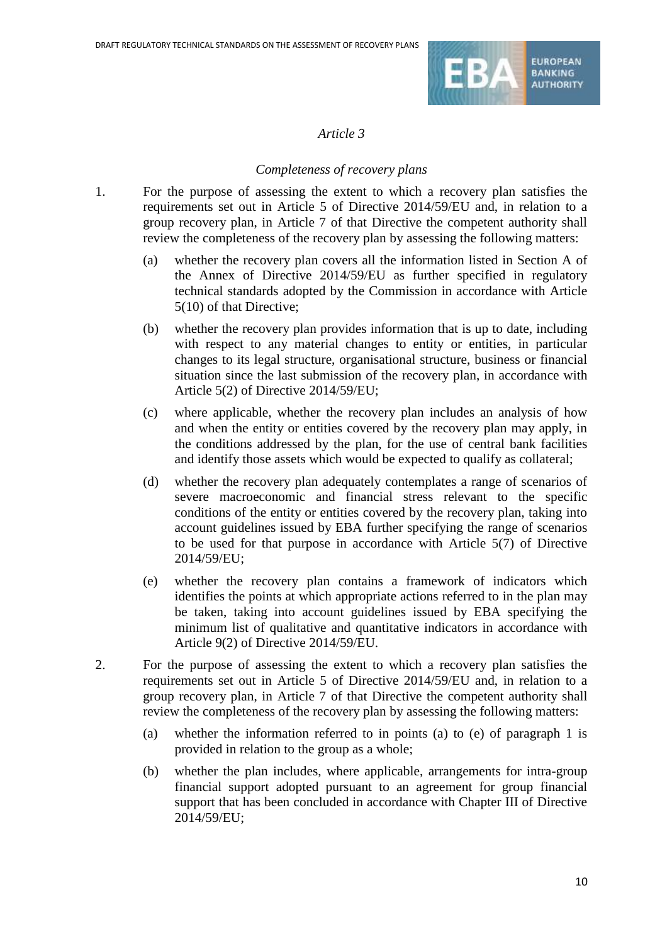

### *Completeness of recovery plans*

- 1. For the purpose of assessing the extent to which a recovery plan satisfies the requirements set out in Article 5 of Directive 2014/59/EU and, in relation to a group recovery plan, in Article 7 of that Directive the competent authority shall review the completeness of the recovery plan by assessing the following matters:
	- (a) whether the recovery plan covers all the information listed in Section A of the Annex of Directive 2014/59/EU as further specified in regulatory technical standards adopted by the Commission in accordance with Article 5(10) of that Directive;
	- (b) whether the recovery plan provides information that is up to date, including with respect to any material changes to entity or entities, in particular changes to its legal structure, organisational structure, business or financial situation since the last submission of the recovery plan, in accordance with Article 5(2) of Directive 2014/59/EU;
	- (c) where applicable, whether the recovery plan includes an analysis of how and when the entity or entities covered by the recovery plan may apply, in the conditions addressed by the plan, for the use of central bank facilities and identify those assets which would be expected to qualify as collateral;
	- (d) whether the recovery plan adequately contemplates a range of scenarios of severe macroeconomic and financial stress relevant to the specific conditions of the entity or entities covered by the recovery plan, taking into account guidelines issued by EBA further specifying the range of scenarios to be used for that purpose in accordance with Article 5(7) of Directive 2014/59/EU;
	- (e) whether the recovery plan contains a framework of indicators which identifies the points at which appropriate actions referred to in the plan may be taken, taking into account guidelines issued by EBA specifying the minimum list of qualitative and quantitative indicators in accordance with Article 9(2) of Directive 2014/59/EU.
- 2. For the purpose of assessing the extent to which a recovery plan satisfies the requirements set out in Article 5 of Directive 2014/59/EU and, in relation to a group recovery plan, in Article 7 of that Directive the competent authority shall review the completeness of the recovery plan by assessing the following matters:
	- (a) whether the information referred to in points (a) to (e) of paragraph 1 is provided in relation to the group as a whole;
	- (b) whether the plan includes, where applicable, arrangements for intra-group financial support adopted pursuant to an agreement for group financial support that has been concluded in accordance with Chapter III of Directive 2014/59/EU;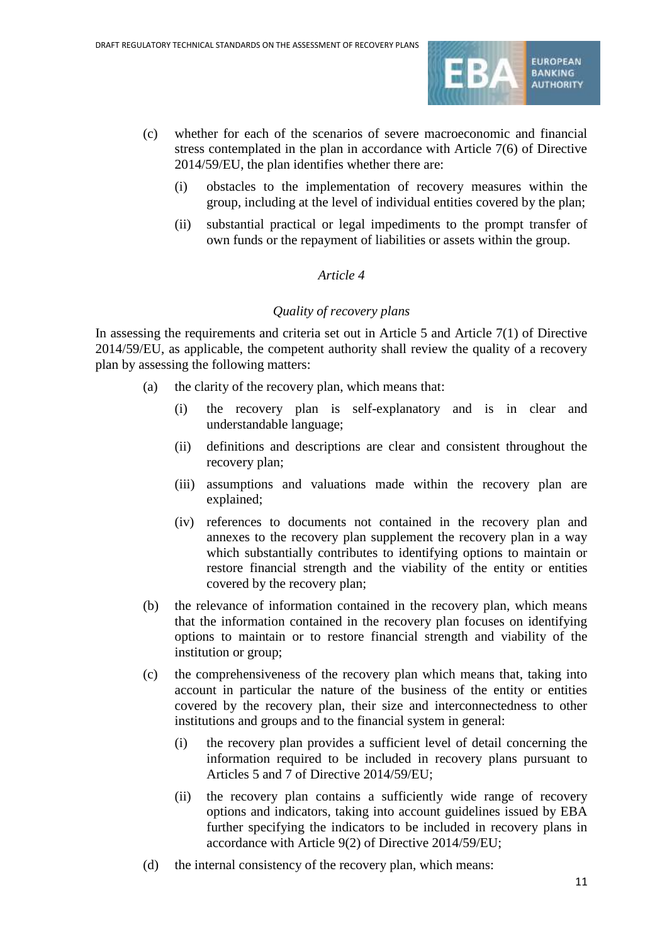

- (c) whether for each of the scenarios of severe macroeconomic and financial stress contemplated in the plan in accordance with Article 7(6) of Directive 2014/59/EU, the plan identifies whether there are:
	- (i) obstacles to the implementation of recovery measures within the group, including at the level of individual entities covered by the plan;
	- (ii) substantial practical or legal impediments to the prompt transfer of own funds or the repayment of liabilities or assets within the group.

### *Quality of recovery plans*

In assessing the requirements and criteria set out in Article 5 and Article 7(1) of Directive 2014/59/EU, as applicable, the competent authority shall review the quality of a recovery plan by assessing the following matters:

- (a) the clarity of the recovery plan, which means that:
	- (i) the recovery plan is self-explanatory and is in clear and understandable language;
	- (ii) definitions and descriptions are clear and consistent throughout the recovery plan;
	- (iii) assumptions and valuations made within the recovery plan are explained;
	- (iv) references to documents not contained in the recovery plan and annexes to the recovery plan supplement the recovery plan in a way which substantially contributes to identifying options to maintain or restore financial strength and the viability of the entity or entities covered by the recovery plan;
- (b) the relevance of information contained in the recovery plan, which means that the information contained in the recovery plan focuses on identifying options to maintain or to restore financial strength and viability of the institution or group;
- (c) the comprehensiveness of the recovery plan which means that, taking into account in particular the nature of the business of the entity or entities covered by the recovery plan, their size and interconnectedness to other institutions and groups and to the financial system in general:
	- (i) the recovery plan provides a sufficient level of detail concerning the information required to be included in recovery plans pursuant to Articles 5 and 7 of Directive 2014/59/EU;
	- (ii) the recovery plan contains a sufficiently wide range of recovery options and indicators, taking into account guidelines issued by EBA further specifying the indicators to be included in recovery plans in accordance with Article 9(2) of Directive 2014/59/EU;
- (d) the internal consistency of the recovery plan, which means: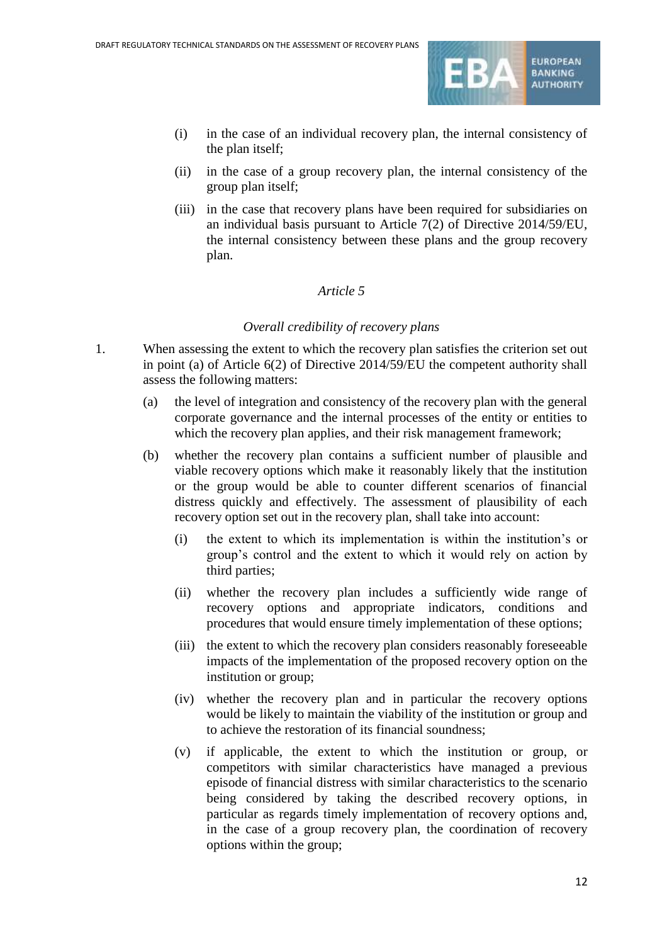

- (i) in the case of an individual recovery plan, the internal consistency of the plan itself;
- (ii) in the case of a group recovery plan, the internal consistency of the group plan itself;
- (iii) in the case that recovery plans have been required for subsidiaries on an individual basis pursuant to Article 7(2) of Directive 2014/59/EU, the internal consistency between these plans and the group recovery plan.

### *Overall credibility of recovery plans*

- 1. When assessing the extent to which the recovery plan satisfies the criterion set out in point (a) of Article 6(2) of Directive 2014/59/EU the competent authority shall assess the following matters:
	- (a) the level of integration and consistency of the recovery plan with the general corporate governance and the internal processes of the entity or entities to which the recovery plan applies, and their risk management framework;
	- (b) whether the recovery plan contains a sufficient number of plausible and viable recovery options which make it reasonably likely that the institution or the group would be able to counter different scenarios of financial distress quickly and effectively. The assessment of plausibility of each recovery option set out in the recovery plan, shall take into account:
		- (i) the extent to which its implementation is within the institution's or group's control and the extent to which it would rely on action by third parties;
		- (ii) whether the recovery plan includes a sufficiently wide range of recovery options and appropriate indicators, conditions and procedures that would ensure timely implementation of these options;
		- (iii) the extent to which the recovery plan considers reasonably foreseeable impacts of the implementation of the proposed recovery option on the institution or group;
		- (iv) whether the recovery plan and in particular the recovery options would be likely to maintain the viability of the institution or group and to achieve the restoration of its financial soundness;
		- (v) if applicable, the extent to which the institution or group, or competitors with similar characteristics have managed a previous episode of financial distress with similar characteristics to the scenario being considered by taking the described recovery options, in particular as regards timely implementation of recovery options and, in the case of a group recovery plan, the coordination of recovery options within the group;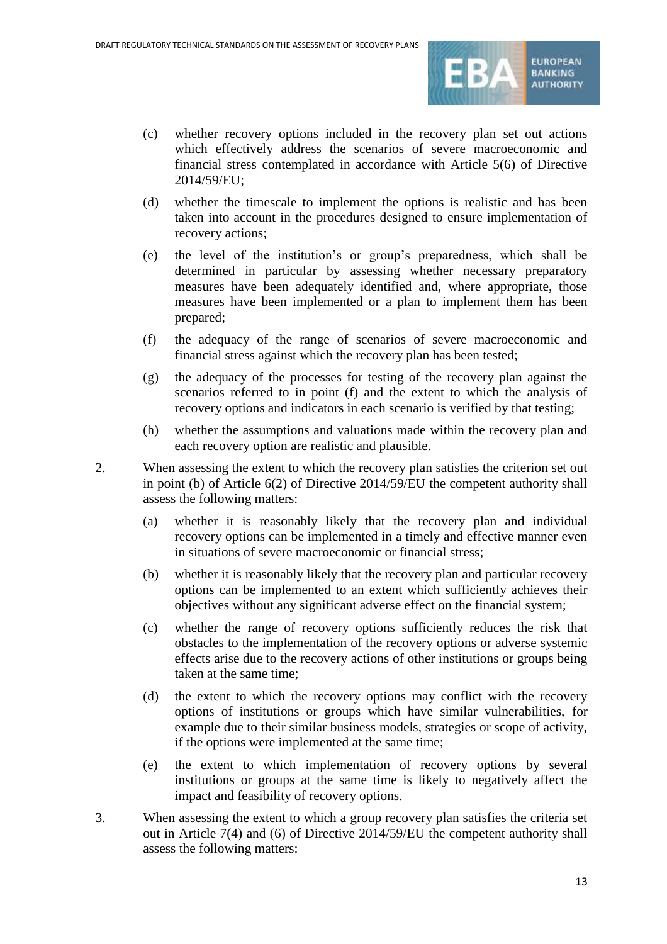

- (c) whether recovery options included in the recovery plan set out actions which effectively address the scenarios of severe macroeconomic and financial stress contemplated in accordance with Article 5(6) of Directive 2014/59/EU;
- (d) whether the timescale to implement the options is realistic and has been taken into account in the procedures designed to ensure implementation of recovery actions;
- (e) the level of the institution's or group's preparedness, which shall be determined in particular by assessing whether necessary preparatory measures have been adequately identified and, where appropriate, those measures have been implemented or a plan to implement them has been prepared;
- (f) the adequacy of the range of scenarios of severe macroeconomic and financial stress against which the recovery plan has been tested;
- (g) the adequacy of the processes for testing of the recovery plan against the scenarios referred to in point (f) and the extent to which the analysis of recovery options and indicators in each scenario is verified by that testing;
- (h) whether the assumptions and valuations made within the recovery plan and each recovery option are realistic and plausible.
- 2. When assessing the extent to which the recovery plan satisfies the criterion set out in point (b) of Article 6(2) of Directive 2014/59/EU the competent authority shall assess the following matters:
	- (a) whether it is reasonably likely that the recovery plan and individual recovery options can be implemented in a timely and effective manner even in situations of severe macroeconomic or financial stress;
	- (b) whether it is reasonably likely that the recovery plan and particular recovery options can be implemented to an extent which sufficiently achieves their objectives without any significant adverse effect on the financial system;
	- (c) whether the range of recovery options sufficiently reduces the risk that obstacles to the implementation of the recovery options or adverse systemic effects arise due to the recovery actions of other institutions or groups being taken at the same time;
	- (d) the extent to which the recovery options may conflict with the recovery options of institutions or groups which have similar vulnerabilities, for example due to their similar business models, strategies or scope of activity, if the options were implemented at the same time;
	- (e) the extent to which implementation of recovery options by several institutions or groups at the same time is likely to negatively affect the impact and feasibility of recovery options.
- 3. When assessing the extent to which a group recovery plan satisfies the criteria set out in Article 7(4) and (6) of Directive 2014/59/EU the competent authority shall assess the following matters: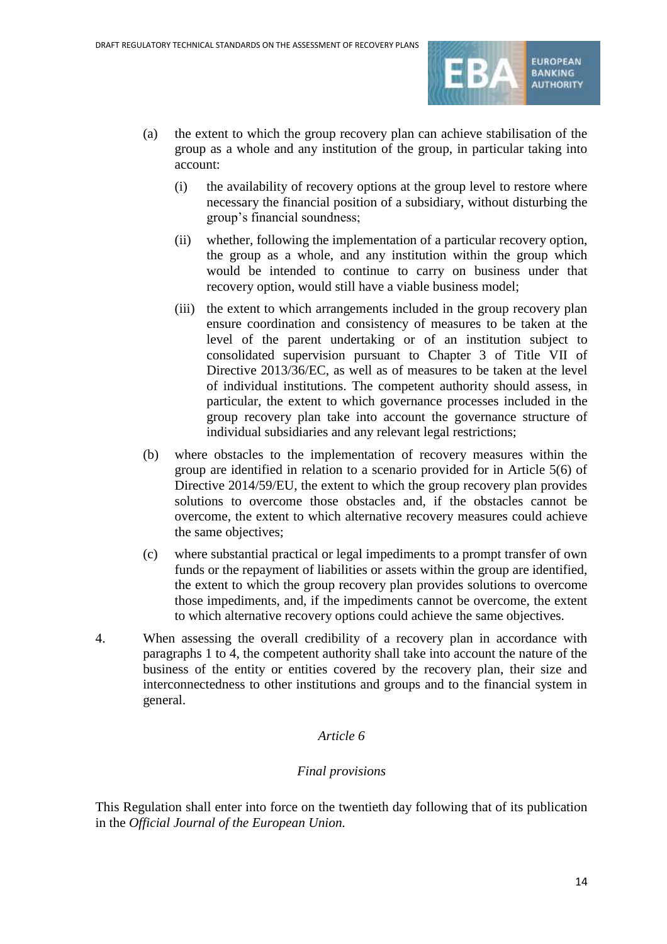

- (a) the extent to which the group recovery plan can achieve stabilisation of the group as a whole and any institution of the group, in particular taking into account:
	- (i) the availability of recovery options at the group level to restore where necessary the financial position of a subsidiary, without disturbing the group's financial soundness;
	- (ii) whether, following the implementation of a particular recovery option, the group as a whole, and any institution within the group which would be intended to continue to carry on business under that recovery option, would still have a viable business model;
	- (iii) the extent to which arrangements included in the group recovery plan ensure coordination and consistency of measures to be taken at the level of the parent undertaking or of an institution subject to consolidated supervision pursuant to Chapter 3 of Title VII of Directive 2013/36/EC, as well as of measures to be taken at the level of individual institutions. The competent authority should assess, in particular, the extent to which governance processes included in the group recovery plan take into account the governance structure of individual subsidiaries and any relevant legal restrictions;
- (b) where obstacles to the implementation of recovery measures within the group are identified in relation to a scenario provided for in Article 5(6) of Directive 2014/59/EU, the extent to which the group recovery plan provides solutions to overcome those obstacles and, if the obstacles cannot be overcome, the extent to which alternative recovery measures could achieve the same objectives;
- (c) where substantial practical or legal impediments to a prompt transfer of own funds or the repayment of liabilities or assets within the group are identified, the extent to which the group recovery plan provides solutions to overcome those impediments, and, if the impediments cannot be overcome, the extent to which alternative recovery options could achieve the same objectives.
- 4. When assessing the overall credibility of a recovery plan in accordance with paragraphs 1 to 4, the competent authority shall take into account the nature of the business of the entity or entities covered by the recovery plan, their size and interconnectedness to other institutions and groups and to the financial system in general.

### *Final provisions*

This Regulation shall enter into force on the twentieth day following that of its publication in the *Official Journal of the European Union.*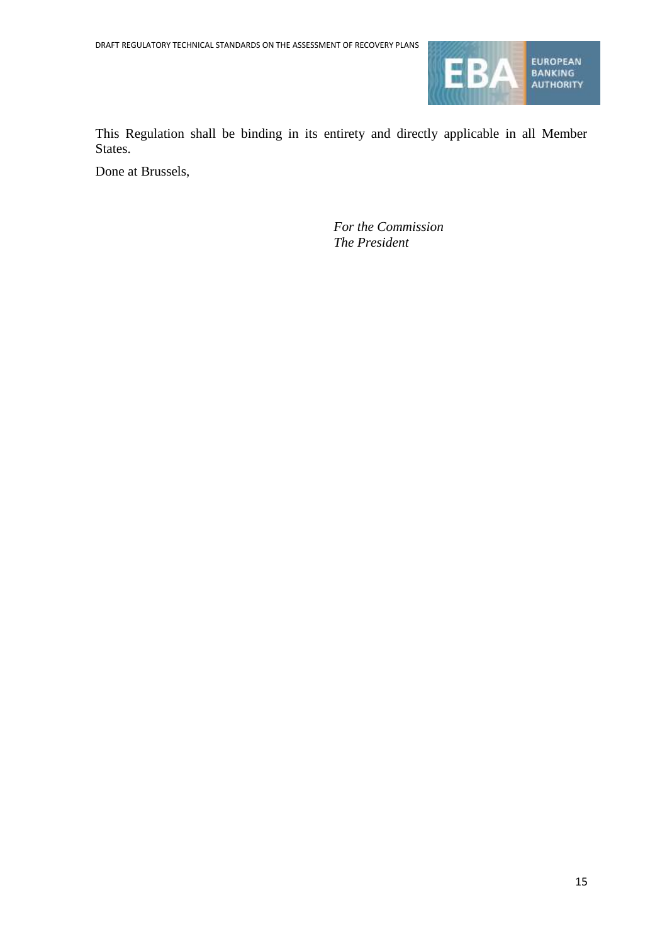

This Regulation shall be binding in its entirety and directly applicable in all Member States.

Done at Brussels,

*For the Commission The President*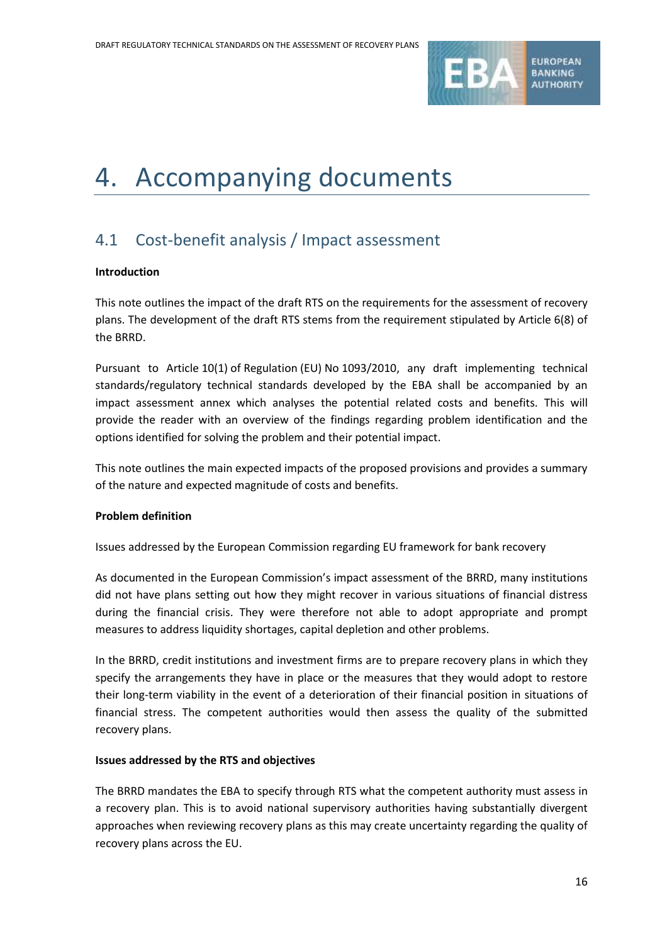

# 4. Accompanying documents

## 4.1 Cost-benefit analysis / Impact assessment

### **Introduction**

This note outlines the impact of the draft RTS on the requirements for the assessment of recovery plans. The development of the draft RTS stems from the requirement stipulated by Article 6(8) of the BRRD.

Pursuant to Article 10(1) of Regulation (EU) No 1093/2010, any draft implementing technical standards/regulatory technical standards developed by the EBA shall be accompanied by an impact assessment annex which analyses the potential related costs and benefits. This will provide the reader with an overview of the findings regarding problem identification and the options identified for solving the problem and their potential impact.

This note outlines the main expected impacts of the proposed provisions and provides a summary of the nature and expected magnitude of costs and benefits.

### **Problem definition**

Issues addressed by the European Commission regarding EU framework for bank recovery

As documented in the European Commission's impact assessment of the BRRD, many institutions did not have plans setting out how they might recover in various situations of financial distress during the financial crisis. They were therefore not able to adopt appropriate and prompt measures to address liquidity shortages, capital depletion and other problems.

In the BRRD, credit institutions and investment firms are to prepare recovery plans in which they specify the arrangements they have in place or the measures that they would adopt to restore their long-term viability in the event of a deterioration of their financial position in situations of financial stress. The competent authorities would then assess the quality of the submitted recovery plans.

### **Issues addressed by the RTS and objectives**

The BRRD mandates the EBA to specify through RTS what the competent authority must assess in a recovery plan. This is to avoid national supervisory authorities having substantially divergent approaches when reviewing recovery plans as this may create uncertainty regarding the quality of recovery plans across the EU.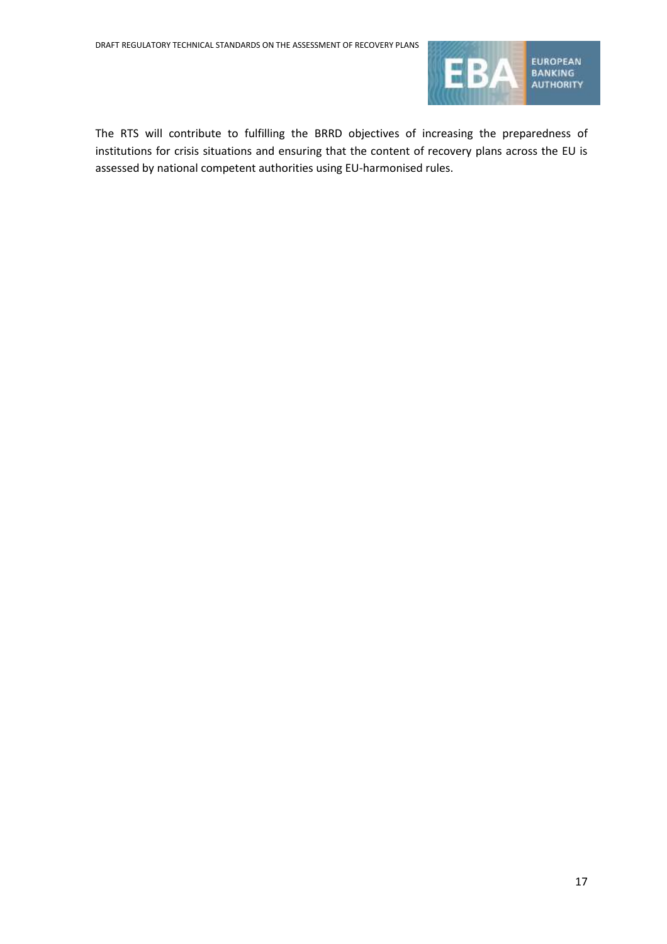

The RTS will contribute to fulfilling the BRRD objectives of increasing the preparedness of institutions for crisis situations and ensuring that the content of recovery plans across the EU is assessed by national competent authorities using EU-harmonised rules.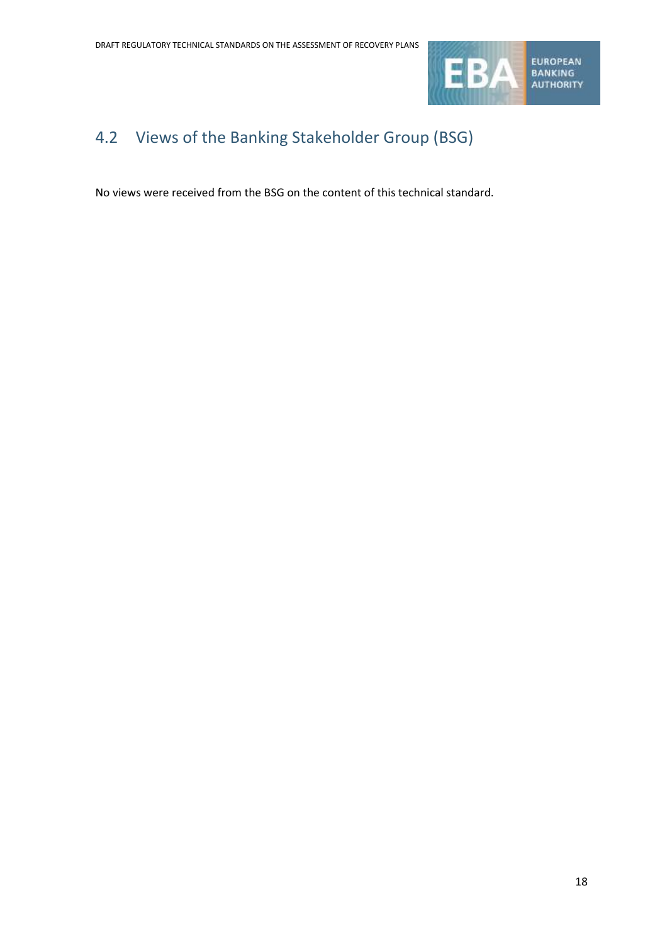

## 4.2 Views of the Banking Stakeholder Group (BSG)

No views were received from the BSG on the content of this technical standard.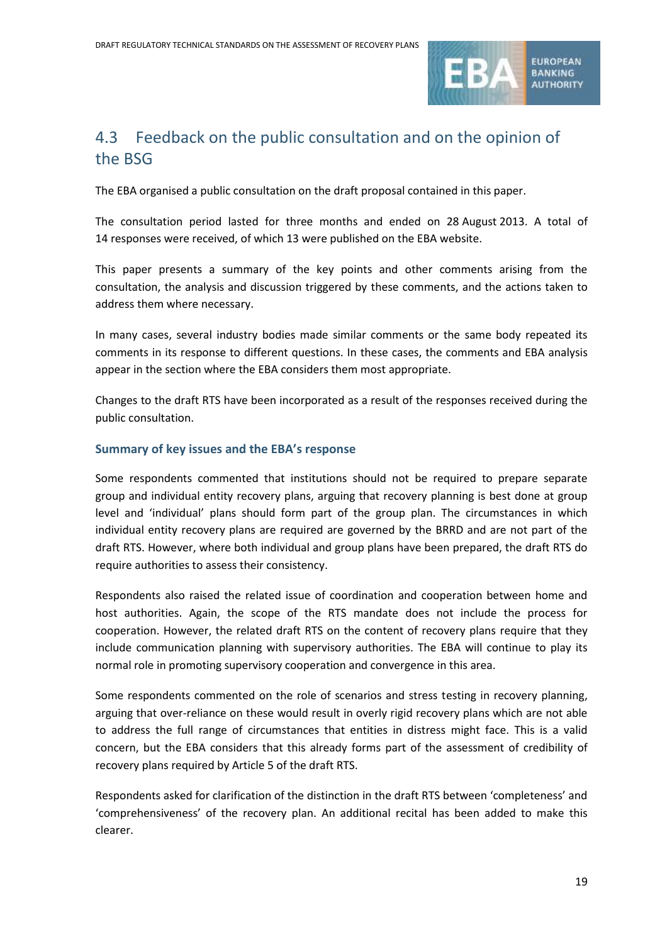

## 4.3 Feedback on the public consultation and on the opinion of the BSG

The EBA organised a public consultation on the draft proposal contained in this paper.

The consultation period lasted for three months and ended on 28 August 2013. A total of 14 responses were received, of which 13 were published on the EBA website.

This paper presents a summary of the key points and other comments arising from the consultation, the analysis and discussion triggered by these comments, and the actions taken to address them where necessary.

In many cases, several industry bodies made similar comments or the same body repeated its comments in its response to different questions. In these cases, the comments and EBA analysis appear in the section where the EBA considers them most appropriate.

Changes to the draft RTS have been incorporated as a result of the responses received during the public consultation.

### **Summary of key issues and the EBA's response**

Some respondents commented that institutions should not be required to prepare separate group and individual entity recovery plans, arguing that recovery planning is best done at group level and 'individual' plans should form part of the group plan. The circumstances in which individual entity recovery plans are required are governed by the BRRD and are not part of the draft RTS. However, where both individual and group plans have been prepared, the draft RTS do require authorities to assess their consistency.

Respondents also raised the related issue of coordination and cooperation between home and host authorities. Again, the scope of the RTS mandate does not include the process for cooperation. However, the related draft RTS on the content of recovery plans require that they include communication planning with supervisory authorities. The EBA will continue to play its normal role in promoting supervisory cooperation and convergence in this area.

Some respondents commented on the role of scenarios and stress testing in recovery planning, arguing that over-reliance on these would result in overly rigid recovery plans which are not able to address the full range of circumstances that entities in distress might face. This is a valid concern, but the EBA considers that this already forms part of the assessment of credibility of recovery plans required by Article 5 of the draft RTS.

Respondents asked for clarification of the distinction in the draft RTS between 'completeness' and 'comprehensiveness' of the recovery plan. An additional recital has been added to make this clearer.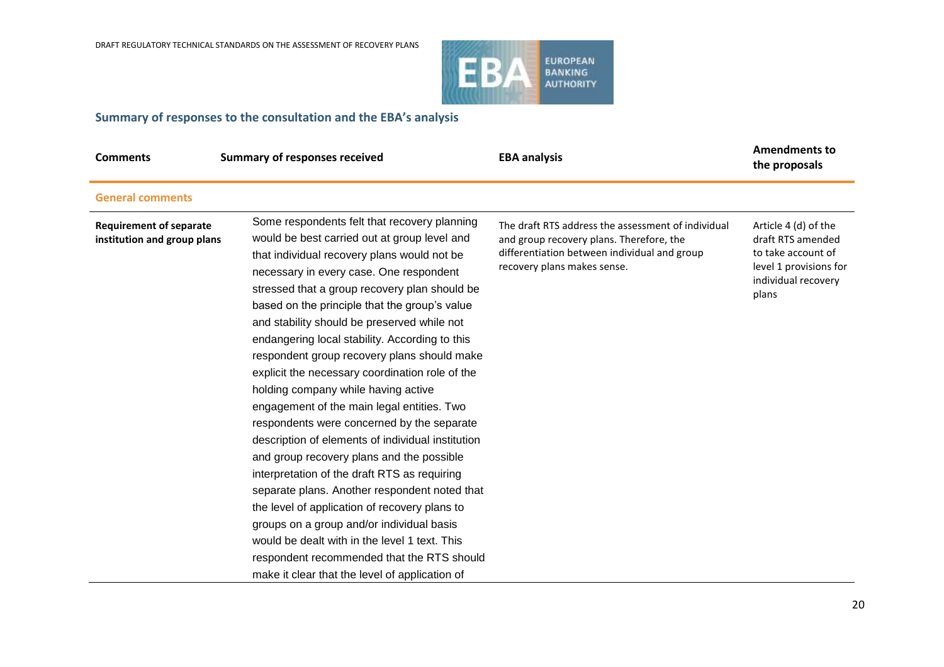

## **Summary of responses to the consultation and the EBA's analysis**

| <b>Comments</b>                                               | <b>Summary of responses received</b>                                                                                                                                                                                                                                                                                                                                                                                                                                                                                                                                                                                                                                                                                                                                                                                                                                                                                                                                                                                                                                             | <b>EBA analysis</b>                                                                                                                                                           | <b>Amendments to</b><br>the proposals                                                                                     |
|---------------------------------------------------------------|----------------------------------------------------------------------------------------------------------------------------------------------------------------------------------------------------------------------------------------------------------------------------------------------------------------------------------------------------------------------------------------------------------------------------------------------------------------------------------------------------------------------------------------------------------------------------------------------------------------------------------------------------------------------------------------------------------------------------------------------------------------------------------------------------------------------------------------------------------------------------------------------------------------------------------------------------------------------------------------------------------------------------------------------------------------------------------|-------------------------------------------------------------------------------------------------------------------------------------------------------------------------------|---------------------------------------------------------------------------------------------------------------------------|
| <b>General comments</b>                                       |                                                                                                                                                                                                                                                                                                                                                                                                                                                                                                                                                                                                                                                                                                                                                                                                                                                                                                                                                                                                                                                                                  |                                                                                                                                                                               |                                                                                                                           |
| <b>Requirement of separate</b><br>institution and group plans | Some respondents felt that recovery planning<br>would be best carried out at group level and<br>that individual recovery plans would not be<br>necessary in every case. One respondent<br>stressed that a group recovery plan should be<br>based on the principle that the group's value<br>and stability should be preserved while not<br>endangering local stability. According to this<br>respondent group recovery plans should make<br>explicit the necessary coordination role of the<br>holding company while having active<br>engagement of the main legal entities. Two<br>respondents were concerned by the separate<br>description of elements of individual institution<br>and group recovery plans and the possible<br>interpretation of the draft RTS as requiring<br>separate plans. Another respondent noted that<br>the level of application of recovery plans to<br>groups on a group and/or individual basis<br>would be dealt with in the level 1 text. This<br>respondent recommended that the RTS should<br>make it clear that the level of application of | The draft RTS address the assessment of individual<br>and group recovery plans. Therefore, the<br>differentiation between individual and group<br>recovery plans makes sense. | Article 4 (d) of the<br>draft RTS amended<br>to take account of<br>level 1 provisions for<br>individual recovery<br>plans |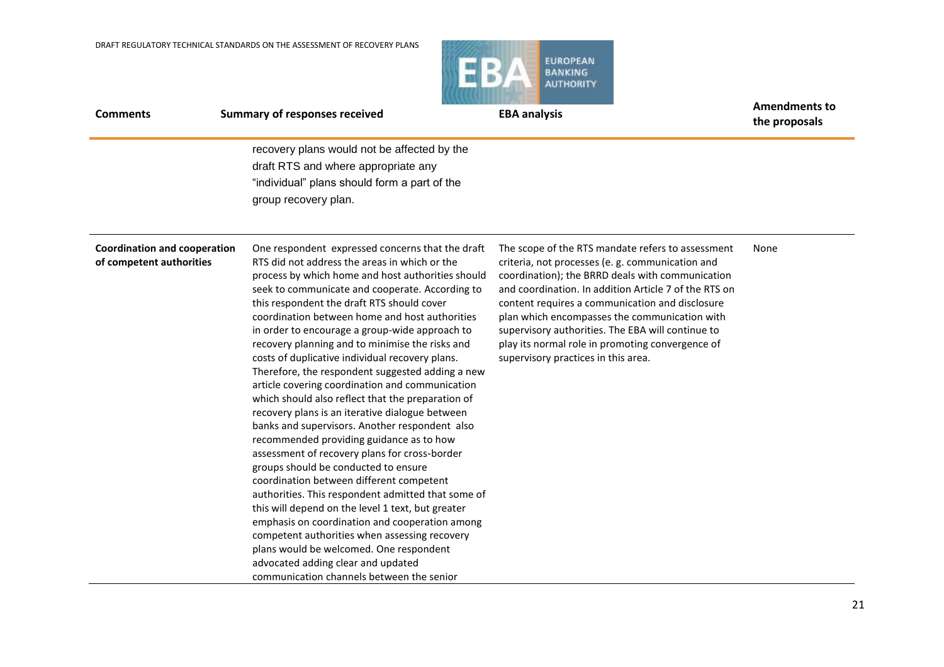

| <b>Comments</b>                                                 | <b>Summary of responses received</b>                                                                                                                                                                                                                                                                                                                                                                                                                                                                                                                                                                                                                                                                                                                                                                                                                                                                                                                                                                                                                                                                                                                                                                               | <b>EBA analysis</b>                                                                                                                                                                                                                                                                                                                                                                                                                                                    | <b>Amendments to</b><br>the proposals |
|-----------------------------------------------------------------|--------------------------------------------------------------------------------------------------------------------------------------------------------------------------------------------------------------------------------------------------------------------------------------------------------------------------------------------------------------------------------------------------------------------------------------------------------------------------------------------------------------------------------------------------------------------------------------------------------------------------------------------------------------------------------------------------------------------------------------------------------------------------------------------------------------------------------------------------------------------------------------------------------------------------------------------------------------------------------------------------------------------------------------------------------------------------------------------------------------------------------------------------------------------------------------------------------------------|------------------------------------------------------------------------------------------------------------------------------------------------------------------------------------------------------------------------------------------------------------------------------------------------------------------------------------------------------------------------------------------------------------------------------------------------------------------------|---------------------------------------|
|                                                                 | recovery plans would not be affected by the<br>draft RTS and where appropriate any<br>"individual" plans should form a part of the<br>group recovery plan.                                                                                                                                                                                                                                                                                                                                                                                                                                                                                                                                                                                                                                                                                                                                                                                                                                                                                                                                                                                                                                                         |                                                                                                                                                                                                                                                                                                                                                                                                                                                                        |                                       |
| <b>Coordination and cooperation</b><br>of competent authorities | One respondent expressed concerns that the draft<br>RTS did not address the areas in which or the<br>process by which home and host authorities should<br>seek to communicate and cooperate. According to<br>this respondent the draft RTS should cover<br>coordination between home and host authorities<br>in order to encourage a group-wide approach to<br>recovery planning and to minimise the risks and<br>costs of duplicative individual recovery plans.<br>Therefore, the respondent suggested adding a new<br>article covering coordination and communication<br>which should also reflect that the preparation of<br>recovery plans is an iterative dialogue between<br>banks and supervisors. Another respondent also<br>recommended providing guidance as to how<br>assessment of recovery plans for cross-border<br>groups should be conducted to ensure<br>coordination between different competent<br>authorities. This respondent admitted that some of<br>this will depend on the level 1 text, but greater<br>emphasis on coordination and cooperation among<br>competent authorities when assessing recovery<br>plans would be welcomed. One respondent<br>advocated adding clear and updated | The scope of the RTS mandate refers to assessment<br>criteria, not processes (e. g. communication and<br>coordination); the BRRD deals with communication<br>and coordination. In addition Article 7 of the RTS on<br>content requires a communication and disclosure<br>plan which encompasses the communication with<br>supervisory authorities. The EBA will continue to<br>play its normal role in promoting convergence of<br>supervisory practices in this area. | None                                  |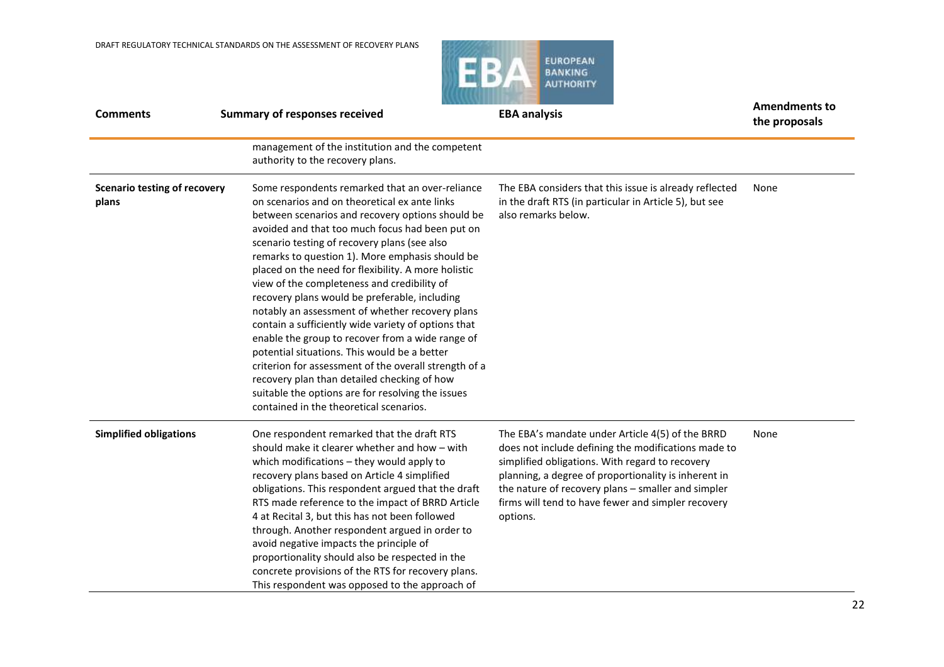

| <b>Comments</b>                              | <b>Summary of responses received</b>                                                                                                                                                                                                                                                                                                                                                                                                                                                                                                                                                                                                                                                                                                                                                                                                                                                    | <b>EBA analysis</b>                                                                                                                                                                                                                                                                                                                        | <b>Amendments to</b><br>the proposals |
|----------------------------------------------|-----------------------------------------------------------------------------------------------------------------------------------------------------------------------------------------------------------------------------------------------------------------------------------------------------------------------------------------------------------------------------------------------------------------------------------------------------------------------------------------------------------------------------------------------------------------------------------------------------------------------------------------------------------------------------------------------------------------------------------------------------------------------------------------------------------------------------------------------------------------------------------------|--------------------------------------------------------------------------------------------------------------------------------------------------------------------------------------------------------------------------------------------------------------------------------------------------------------------------------------------|---------------------------------------|
|                                              | management of the institution and the competent<br>authority to the recovery plans.                                                                                                                                                                                                                                                                                                                                                                                                                                                                                                                                                                                                                                                                                                                                                                                                     |                                                                                                                                                                                                                                                                                                                                            |                                       |
| <b>Scenario testing of recovery</b><br>plans | Some respondents remarked that an over-reliance<br>on scenarios and on theoretical ex ante links<br>between scenarios and recovery options should be<br>avoided and that too much focus had been put on<br>scenario testing of recovery plans (see also<br>remarks to question 1). More emphasis should be<br>placed on the need for flexibility. A more holistic<br>view of the completeness and credibility of<br>recovery plans would be preferable, including<br>notably an assessment of whether recovery plans<br>contain a sufficiently wide variety of options that<br>enable the group to recover from a wide range of<br>potential situations. This would be a better<br>criterion for assessment of the overall strength of a<br>recovery plan than detailed checking of how<br>suitable the options are for resolving the issues<br>contained in the theoretical scenarios. | The EBA considers that this issue is already reflected<br>in the draft RTS (in particular in Article 5), but see<br>also remarks below.                                                                                                                                                                                                    | None                                  |
| <b>Simplified obligations</b>                | One respondent remarked that the draft RTS<br>should make it clearer whether and how - with<br>which modifications - they would apply to<br>recovery plans based on Article 4 simplified<br>obligations. This respondent argued that the draft<br>RTS made reference to the impact of BRRD Article<br>4 at Recital 3, but this has not been followed<br>through. Another respondent argued in order to<br>avoid negative impacts the principle of<br>proportionality should also be respected in the<br>concrete provisions of the RTS for recovery plans.<br>This respondent was opposed to the approach of                                                                                                                                                                                                                                                                            | The EBA's mandate under Article 4(5) of the BRRD<br>does not include defining the modifications made to<br>simplified obligations. With regard to recovery<br>planning, a degree of proportionality is inherent in<br>the nature of recovery plans - smaller and simpler<br>firms will tend to have fewer and simpler recovery<br>options. | None                                  |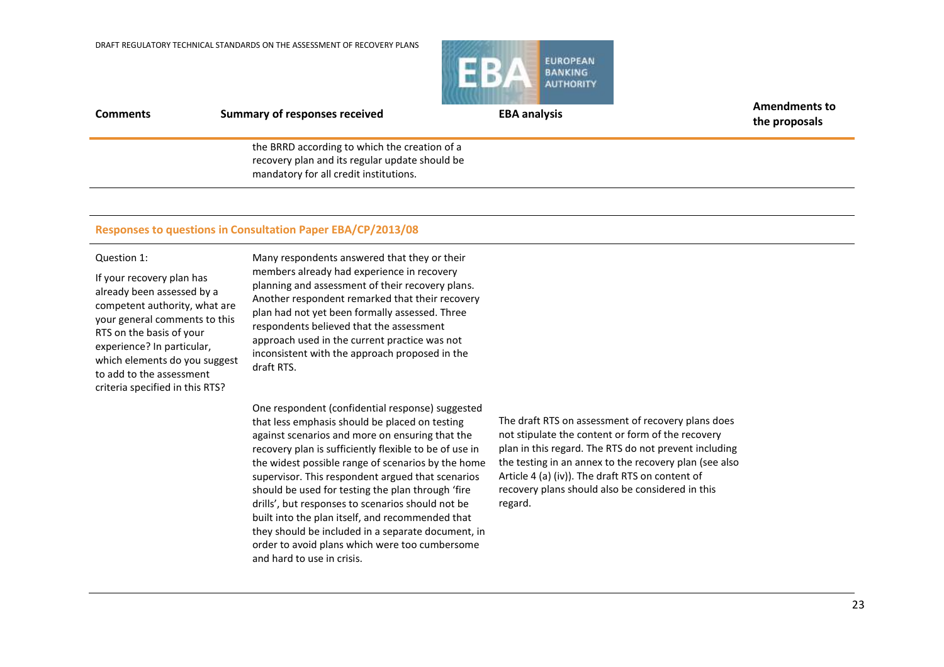

**Comments Summary of responses received EBA analysis EBA analysis Amendments to** the BRRD according to which the creation of a recovery plan and its regular update should be

mandatory for all credit institutions.

### **Responses to questions in Consultation Paper EBA/CP/2013/08**

### Question 1:

If your recovery plan has already been assessed by a competent authority, what are your general comments to this RTS on the basis of your experience? In particular, which elements do you suggest to add to the assessment criteria specified in this RTS?

Many respondents answered that they or their members already had experience in recovery planning and assessment of their recovery plans. Another respondent remarked that their recovery plan had not yet been formally assessed. Three respondents believed that the assessment approach used in the current practice was not inconsistent with the approach proposed in the draft RTS.

One respondent (confidential response) suggested that less emphasis should be placed on testing against scenarios and more on ensuring that the recovery plan is sufficiently flexible to be of use in the widest possible range of scenarios by the home supervisor. This respondent argued that scenarios should be used for testing the plan through 'fire drills', but responses to scenarios should not be built into the plan itself, and recommended that they should be included in a separate document, in order to avoid plans which were too cumbersome and hard to use in crisis.

The draft RTS on assessment of recovery plans does not stipulate the content or form of the recovery plan in this regard. The RTS do not prevent including the testing in an annex to the recovery plan (see also Article 4 (a) (iv)). The draft RTS on content of recovery plans should also be considered in this regard.

**the proposals**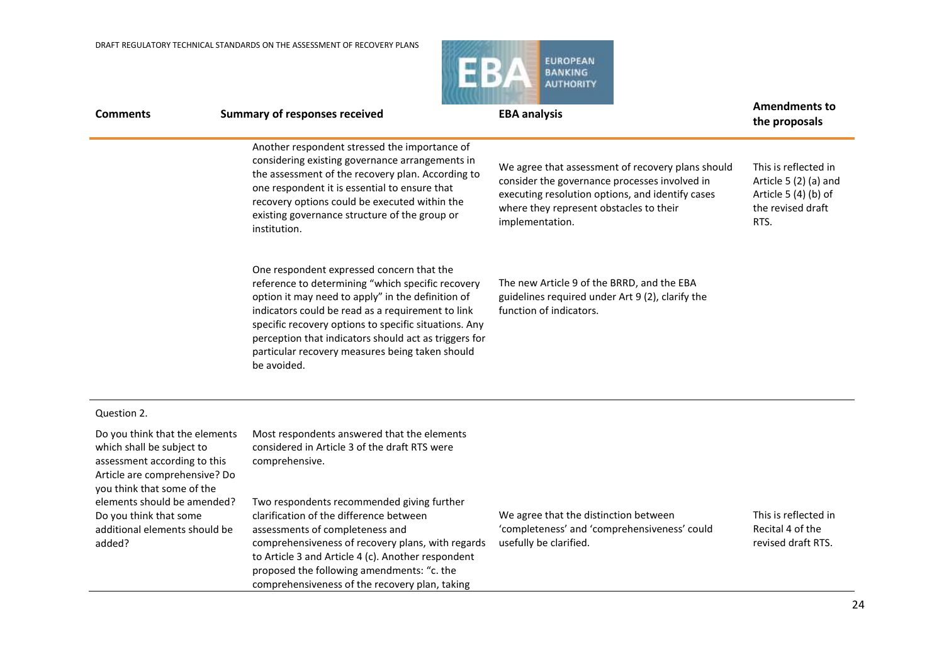

| <b>Comments</b>                                                                                                                                            | <b>Summary of responses received</b>                                                                                                                                                                                                                                                                                                                                                         | <b>EBA analysis</b>                                                                                                                                                                                                  | <b>Amendments to</b><br>the proposals                                                              |
|------------------------------------------------------------------------------------------------------------------------------------------------------------|----------------------------------------------------------------------------------------------------------------------------------------------------------------------------------------------------------------------------------------------------------------------------------------------------------------------------------------------------------------------------------------------|----------------------------------------------------------------------------------------------------------------------------------------------------------------------------------------------------------------------|----------------------------------------------------------------------------------------------------|
|                                                                                                                                                            | Another respondent stressed the importance of<br>considering existing governance arrangements in<br>the assessment of the recovery plan. According to<br>one respondent it is essential to ensure that<br>recovery options could be executed within the<br>existing governance structure of the group or<br>institution.                                                                     | We agree that assessment of recovery plans should<br>consider the governance processes involved in<br>executing resolution options, and identify cases<br>where they represent obstacles to their<br>implementation. | This is reflected in<br>Article 5 (2) (a) and<br>Article 5 (4) (b) of<br>the revised draft<br>RTS. |
|                                                                                                                                                            | One respondent expressed concern that the<br>reference to determining "which specific recovery<br>option it may need to apply" in the definition of<br>indicators could be read as a requirement to link<br>specific recovery options to specific situations. Any<br>perception that indicators should act as triggers for<br>particular recovery measures being taken should<br>be avoided. | The new Article 9 of the BRRD, and the EBA<br>guidelines required under Art 9 (2), clarify the<br>function of indicators.                                                                                            |                                                                                                    |
| Question 2.                                                                                                                                                |                                                                                                                                                                                                                                                                                                                                                                                              |                                                                                                                                                                                                                      |                                                                                                    |
| Do you think that the elements<br>which shall be subject to<br>assessment according to this<br>Article are comprehensive? Do<br>you think that some of the | Most respondents answered that the elements<br>considered in Article 3 of the draft RTS were<br>comprehensive.                                                                                                                                                                                                                                                                               |                                                                                                                                                                                                                      |                                                                                                    |
| elements should be amended?<br>Do you think that some<br>additional elements should be<br>added?                                                           | Two respondents recommended giving further<br>clarification of the difference between<br>assessments of completeness and<br>comprehensiveness of recovery plans, with regards<br>to Article 3 and Article 4 (c). Another respondent<br>proposed the following amendments: "c. the<br>comprehensiveness of the recovery plan, taking                                                          | We agree that the distinction between<br>'completeness' and 'comprehensiveness' could<br>usefully be clarified.                                                                                                      | This is reflected in<br>Recital 4 of the<br>revised draft RTS.                                     |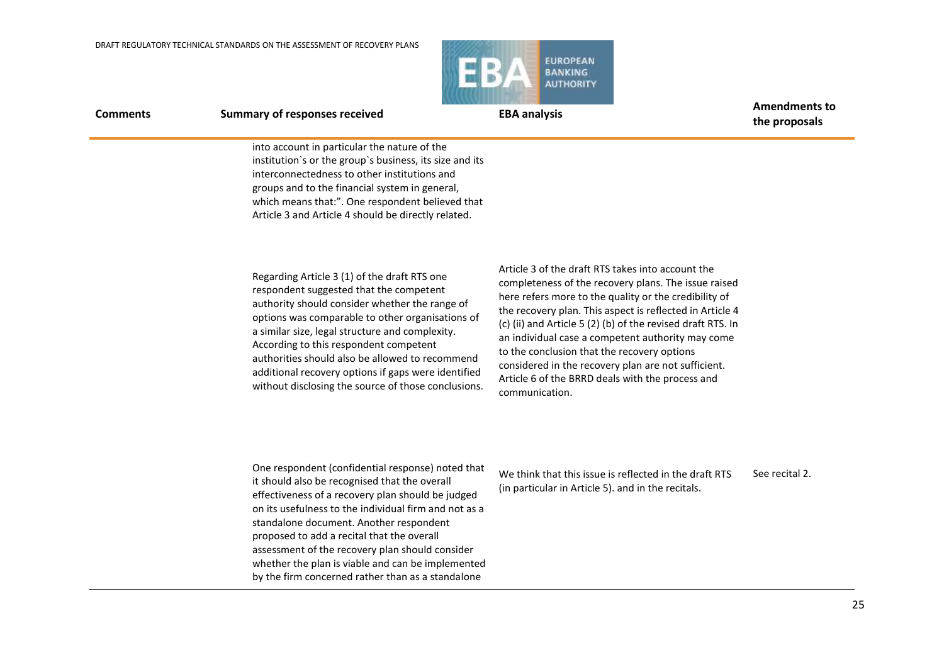

**Comments Summary of responses received EBA analysis EBA analysis Amendments to the proposals**

> into account in particular the nature of the institution`s or the group`s business, its size and its interconnectedness to other institutions and groups and to the financial system in general, which means that:". One respondent believed that Article 3 and Article 4 should be directly related.

Regarding Article 3 (1) of the draft RTS one respondent suggested that the competent authority should consider whether the range of options was comparable to other organisations of a similar size, legal structure and complexity. According to this respondent competent authorities should also be allowed to recommend additional recovery options if gaps were identified without disclosing the source of those conclusions.

Article 3 of the draft RTS takes into account the completeness of the recovery plans. The issue raised here refers more to the quality or the credibility of the recovery plan. This aspect is reflected in Article 4 (c) (ii) and Article 5 (2) (b) of the revised draft RTS. In an individual case a competent authority may come to the conclusion that the recovery options considered in the recovery plan are not sufficient. Article 6 of the BRRD deals with the process and communication.

One respondent (confidential response) noted that it should also be recognised that the overall effectiveness of a recovery plan should be judged on its usefulness to the individual firm and not as a standalone document. Another respondent proposed to add a recital that the overall assessment of the recovery plan should consider whether the plan is viable and can be implemented by the firm concerned rather than as a standalone

We think that this issue is reflected in the draft RTS (in particular in Article 5). and in the recitals. See recital 2.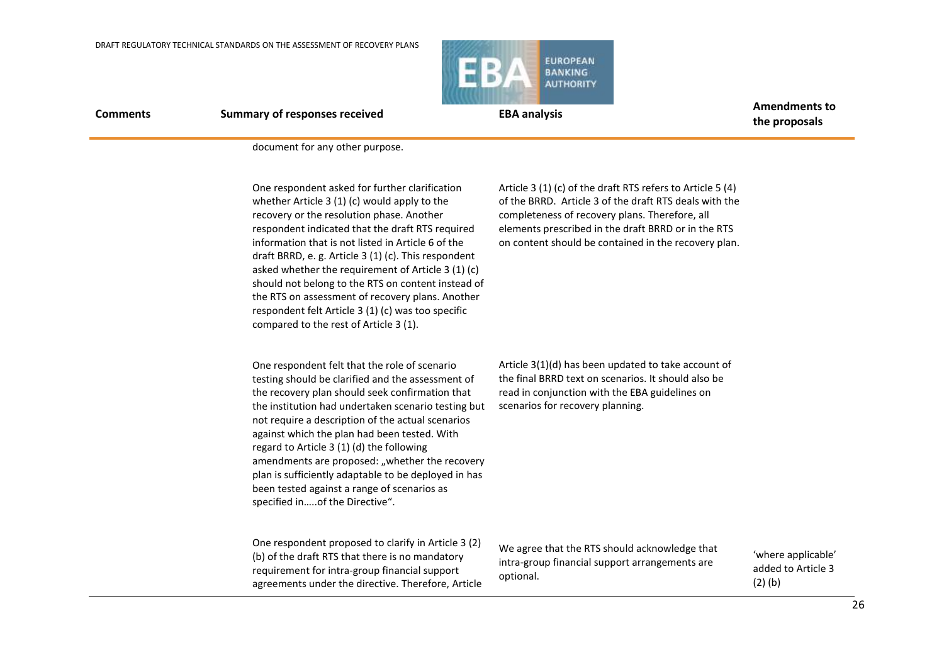

**Comments Summary of responses received EBA analysis EBA analysis Amendments to** 

**the proposals**

document for any other purpose.

One respondent asked for further clarification whether Article 3 (1) (c) would apply to the recovery or the resolution phase. Another respondent indicated that the draft RTS required information that is not listed in Article 6 of the draft BRRD, e. g. Article 3 (1) (c). This respondent asked whether the requirement of Article 3 (1) (c) should not belong to the RTS on content instead of the RTS on assessment of recovery plans. Another respondent felt Article 3 (1) (c) was too specific compared to the rest of Article 3 (1).

Article 3 (1) (c) of the draft RTS refers to Article 5 (4) of the BRRD. Article 3 of the draft RTS deals with the completeness of recovery plans. Therefore, all elements prescribed in the draft BRRD or in the RTS on content should be contained in the recovery plan.

One respondent felt that the role of scenario testing should be clarified and the assessment of the recovery plan should seek confirmation that the institution had undertaken scenario testing but not require a description of the actual scenarios against which the plan had been tested. With regard to Article 3 (1) (d) the following amendments are proposed: "whether the recovery plan is sufficiently adaptable to be deployed in has been tested against a range of scenarios as specified in…..of the Directive".

Article 3(1)(d) has been updated to take account of the final BRRD text on scenarios. It should also be read in conjunction with the EBA guidelines on scenarios for recovery planning.

One respondent proposed to clarify in Article 3 (2) (b) of the draft RTS that there is no mandatory requirement for intra‐group financial support agreements under the directive. Therefore, Article

We agree that the RTS should acknowledge that intra-group financial support arrangements are optional.

'where applicable' added to Article 3 (2) (b)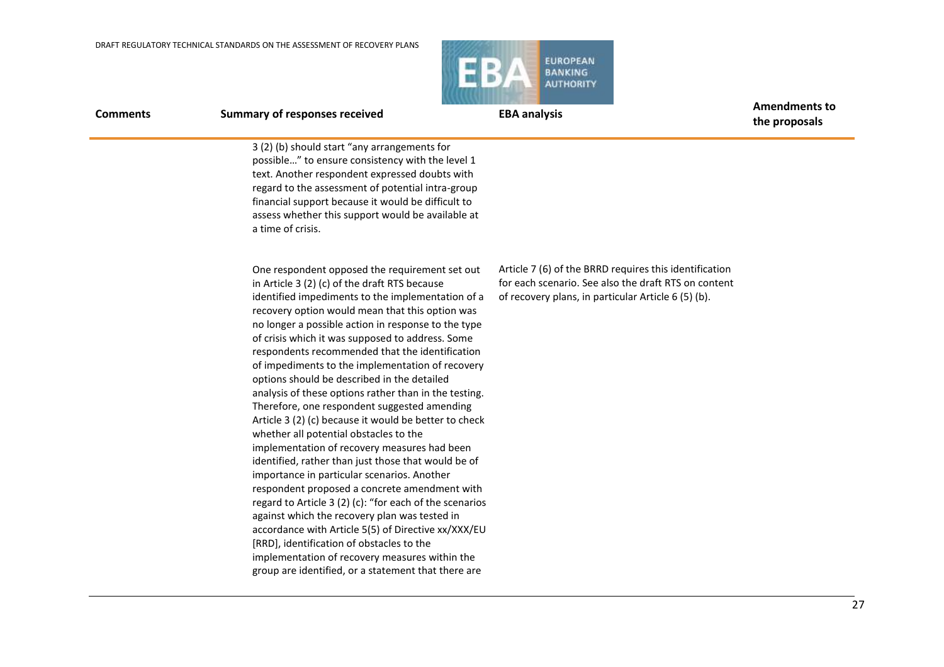

**the proposals**

**Comments Summary of responses received EBA analysis EBA analysis Amendments to** 

3 (2) (b) should start "any arrangements for possible…" to ensure consistency with the level 1 text. Another respondent expressed doubts with regard to the assessment of potential intra-group financial support because it would be difficult to assess whether this support would be available at a time of crisis.

One respondent opposed the requirement set out in Article 3 (2) (c) of the draft RTS because identified impediments to the implementation of a recovery option would mean that this option was no longer a possible action in response to the type of crisis which it was supposed to address. Some respondents recommended that the identification of impediments to the implementation of recovery options should be described in the detailed analysis of these options rather than in the testing. Therefore, one respondent suggested amending Article 3 (2) (c) because it would be better to check whether all potential obstacles to the implementation of recovery measures had been identified, rather than just those that would be of importance in particular scenarios. Another respondent proposed a concrete amendment with regard to Article 3 (2) (c): "for each of the scenarios against which the recovery plan was tested in accordance with Article 5(5) of Directive xx/XXX/EU [RRD], identification of obstacles to the implementation of recovery measures within the group are identified, or a statement that there are

Article 7 (6) of the BRRD requires this identification for each scenario. See also the draft RTS on content of recovery plans, in particular Article 6 (5) (b).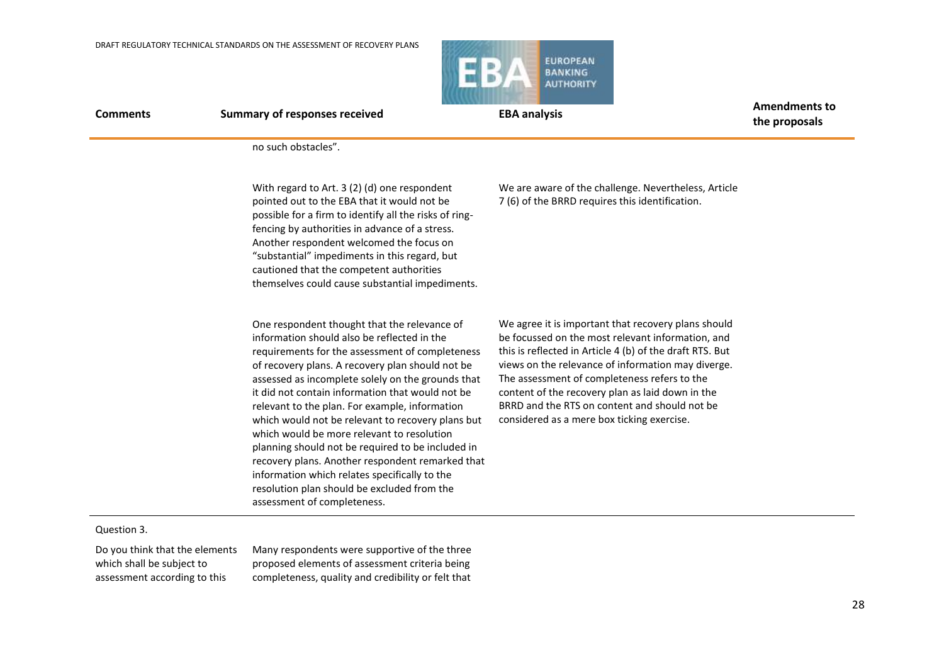

**the proposals**

no such obstacles".

With regard to Art. 3 (2) (d) one respondent pointed out to the EBA that it would not be possible for a firm to identify all the risks of ringfencing by authorities in advance of a stress. Another respondent welcomed the focus on "substantial" impediments in this regard, but cautioned that the competent authorities themselves could cause substantial impediments.

One respondent thought that the relevance of information should also be reflected in the requirements for the assessment of completeness of recovery plans. A recovery plan should not be assessed as incomplete solely on the grounds that it did not contain information that would not be relevant to the plan. For example, information which would not be relevant to recovery plans but which would be more relevant to resolution planning should not be required to be included in recovery plans. Another respondent remarked that information which relates specifically to the resolution plan should be excluded from the assessment of completeness.

We are aware of the challenge. Nevertheless, Article 7 (6) of the BRRD requires this identification.

We agree it is important that recovery plans should be focussed on the most relevant information, and this is reflected in Article 4 (b) of the draft RTS. But views on the relevance of information may diverge. The assessment of completeness refers to the content of the recovery plan as laid down in the BRRD and the RTS on content and should not be considered as a mere box ticking exercise.

### Question 3.

Do you think that the elements which shall be subject to assessment according to this

Many respondents were supportive of the three proposed elements of assessment criteria being completeness, quality and credibility or felt that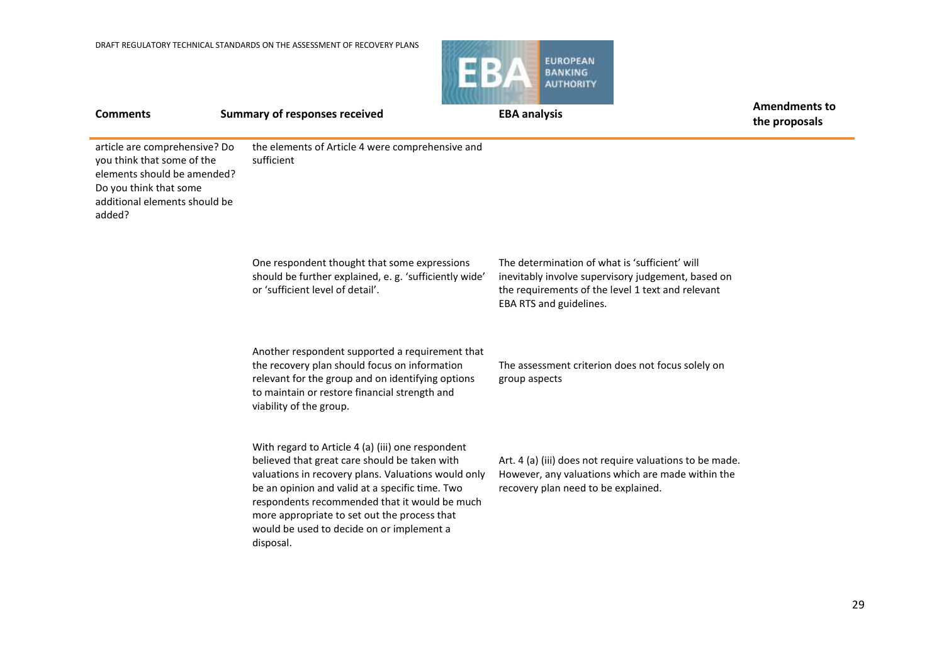

**Comments Summary of responses received EBA analysis EBA analysis Amendments to the proposals** article are comprehensive? Do you think that some of the elements should be amended? Do you think that some additional elements should be added? the elements of Article 4 were comprehensive and sufficient One respondent thought that some expressions should be further explained, e. g. 'sufficiently wide' or 'sufficient level of detail'. Another respondent supported a requirement that the recovery plan should focus on information relevant for the group and on identifying options to maintain or restore financial strength and viability of the group. With regard to Article 4 (a) (iii) one respondent believed that great care should be taken with valuations in recovery plans. Valuations would only be an opinion and valid at a specific time. Two respondents recommended that it would be much more appropriate to set out the process that would be used to decide on or implement a disposal. The determination of what is 'sufficient' will inevitably involve supervisory judgement, based on the requirements of the level 1 text and relevant EBA RTS and guidelines. The assessment criterion does not focus solely on group aspects Art. 4 (a) (iii) does not require valuations to be made. However, any valuations which are made within the recovery plan need to be explained.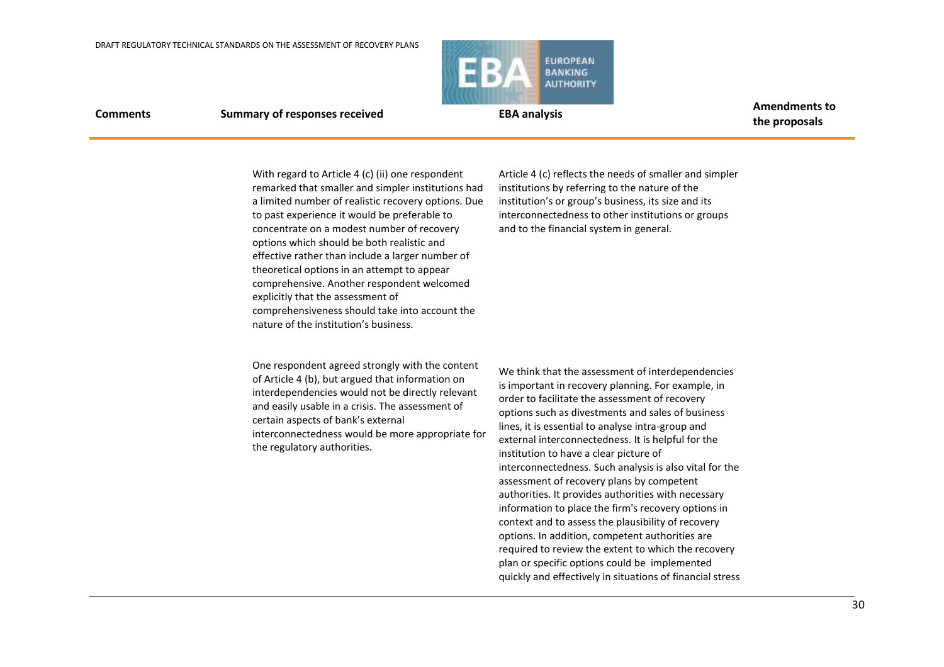

**the proposals**

**Comments Summary of responses received EBA analysis EBA analysis Amendments to** 

With regard to Article 4 (c) (ii) one respondent remarked that smaller and simpler institutions had a limited number of realistic recovery options. Due to past experience it would be preferable to concentrate on a modest number of recovery options which should be both realistic and effective rather than include a larger number of theoretical options in an attempt to appear comprehensive. Another respondent welcomed explicitly that the assessment of comprehensiveness should take into account the nature of the institution's business.

Article 4 (c) reflects the needs of smaller and simpler institutions by referring to the nature of the institution's or group's business, its size and its interconnectedness to other institutions or groups and to the financial system in general.

One respondent agreed strongly with the content of Article 4 (b), but argued that information on interdependencies would not be directly relevant and easily usable in a crisis. The assessment of certain aspects of bank's external interconnectedness would be more appropriate for the regulatory authorities.

We think that the assessment of interdependencies is important in recovery planning. For example, in order to facilitate the assessment of recovery options such as divestments and sales of business lines, it is essential to analyse intra-group and external interconnectedness. It is helpful for the institution to have a clear picture of interconnectedness. Such analysis is also vital for the assessment of recovery plans by competent authorities. It provides authorities with necessary information to place the firm's recovery options in context and to assess the plausibility of recovery options. In addition, competent authorities are required to review the extent to which the recovery plan or specific options could be implemented quickly and effectively in situations of financial stress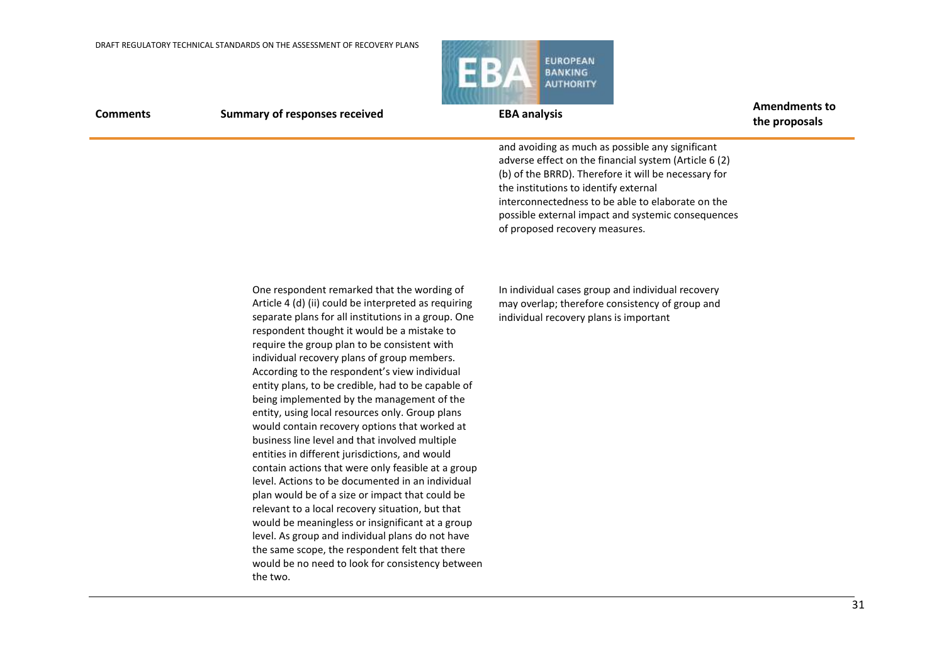

| <b>Comments</b> | <b>Summary of responses received</b>                                                                                                                                                                                                                                                                                                                                                                                                                                                                                                                                                                                                                                                                                                                                                                                                                                                                                                                                                                                                                                                                             | <b>EBA analysis</b>                                                                                                                                                                                                                                                                                                                                     | <b>Amendments to</b><br>the proposals |
|-----------------|------------------------------------------------------------------------------------------------------------------------------------------------------------------------------------------------------------------------------------------------------------------------------------------------------------------------------------------------------------------------------------------------------------------------------------------------------------------------------------------------------------------------------------------------------------------------------------------------------------------------------------------------------------------------------------------------------------------------------------------------------------------------------------------------------------------------------------------------------------------------------------------------------------------------------------------------------------------------------------------------------------------------------------------------------------------------------------------------------------------|---------------------------------------------------------------------------------------------------------------------------------------------------------------------------------------------------------------------------------------------------------------------------------------------------------------------------------------------------------|---------------------------------------|
|                 |                                                                                                                                                                                                                                                                                                                                                                                                                                                                                                                                                                                                                                                                                                                                                                                                                                                                                                                                                                                                                                                                                                                  | and avoiding as much as possible any significant<br>adverse effect on the financial system (Article 6 (2)<br>(b) of the BRRD). Therefore it will be necessary for<br>the institutions to identify external<br>interconnectedness to be able to elaborate on the<br>possible external impact and systemic consequences<br>of proposed recovery measures. |                                       |
|                 | One respondent remarked that the wording of<br>Article 4 (d) (ii) could be interpreted as requiring<br>separate plans for all institutions in a group. One<br>respondent thought it would be a mistake to<br>require the group plan to be consistent with<br>individual recovery plans of group members.<br>According to the respondent's view individual<br>entity plans, to be credible, had to be capable of<br>being implemented by the management of the<br>entity, using local resources only. Group plans<br>would contain recovery options that worked at<br>business line level and that involved multiple<br>entities in different jurisdictions, and would<br>contain actions that were only feasible at a group<br>level. Actions to be documented in an individual<br>plan would be of a size or impact that could be<br>relevant to a local recovery situation, but that<br>would be meaningless or insignificant at a group<br>level. As group and individual plans do not have<br>the same scope, the respondent felt that there<br>would be no need to look for consistency between<br>the two. | In individual cases group and individual recovery<br>may overlap; therefore consistency of group and<br>individual recovery plans is important                                                                                                                                                                                                          |                                       |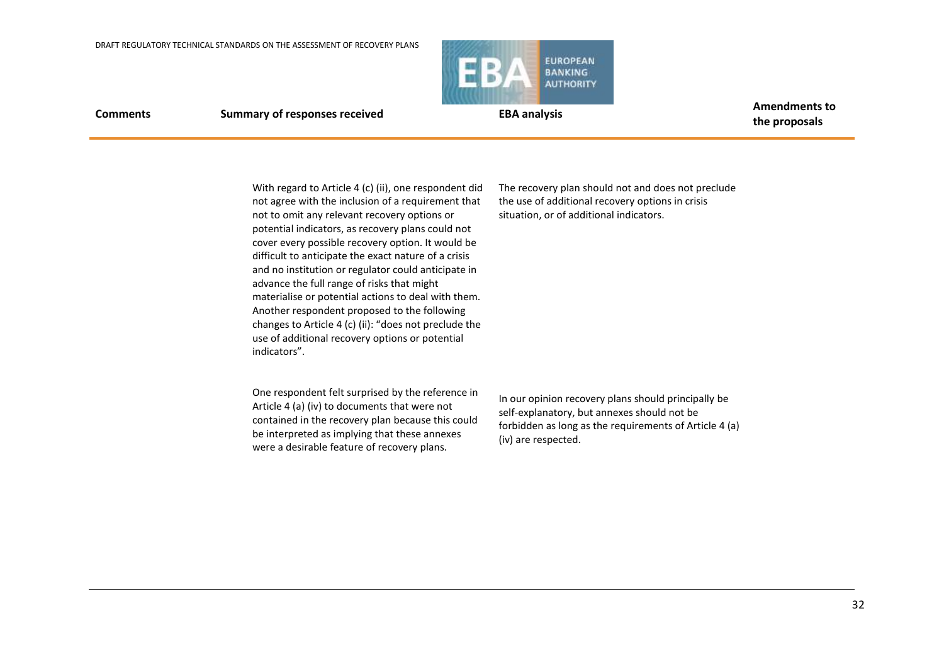

**Comments Summary of responses received EBA analysis EBA analysis Amendments to the proposals**

With regard to Article 4 (c) (ii), one respondent did not agree with the inclusion of a requirement that not to omit any relevant recovery options or potential indicators, as recovery plans could not cover every possible recovery option. It would be difficult to anticipate the exact nature of a crisis and no institution or regulator could anticipate in advance the full range of risks that might materialise or potential actions to deal with them. Another respondent proposed to the following changes to Article 4 (c) (ii): "does not preclude the use of additional recovery options or potential indicators".

One respondent felt surprised by the reference in Article 4 (a) (iv) to documents that were not contained in the recovery plan because this could be interpreted as implying that these annexes were a desirable feature of recovery plans.

The recovery plan should not and does not preclude the use of additional recovery options in crisis situation, or of additional indicators.

In our opinion recovery plans should principally be self-explanatory, but annexes should not be forbidden as long as the requirements of Article 4 (a) (iv) are respected.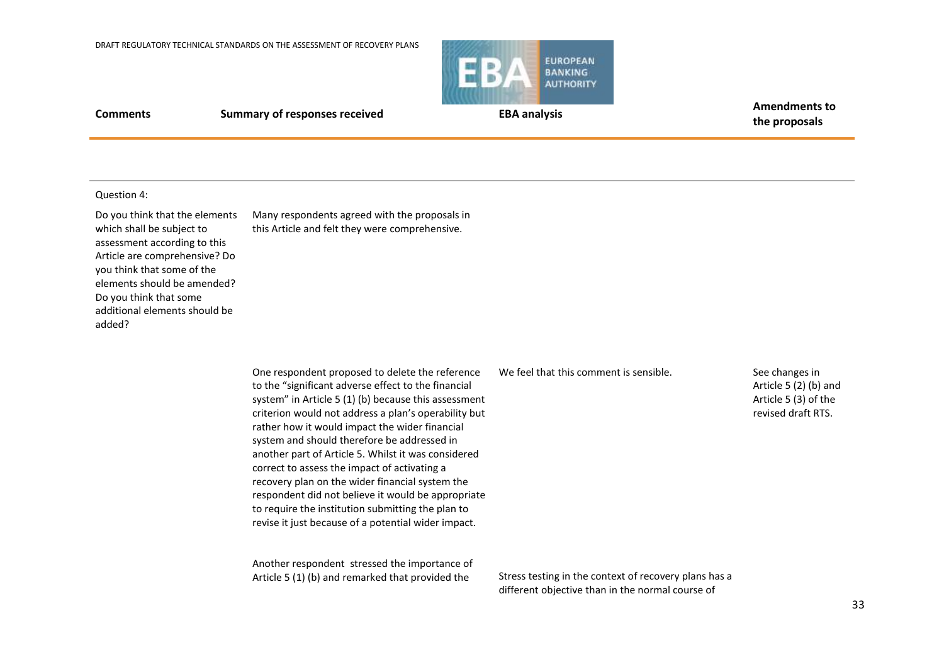

**Comments Summary of responses received EBA analysis EBA analysis Amendments to** 

**the proposals**

### Question 4:

Do you think that the elements which shall be subject to assessment according to this Article are comprehensive? Do you think that some of the elements should be amended? Do you think that some additional elements should be added?

Many respondents agreed with the proposals in this Article and felt they were comprehensive.

One respondent proposed to delete the reference to the "significant adverse effect to the financial system" in Article 5 (1) (b) because this assessment criterion would not address a plan's operability but rather how it would impact the wider financial system and should therefore be addressed in another part of Article 5. Whilst it was considered correct to assess the impact of activating a recovery plan on the wider financial system the respondent did not believe it would be appropriate to require the institution submitting the plan to revise it just because of a potential wider impact.

Another respondent stressed the importance of Article 5 (1) (b) and remarked that provided the

We feel that this comment is sensible.

See changes in Article 5 (2) (b) and Article 5 (3) of the revised draft RTS.

Stress testing in the context of recovery plans has a different objective than in the normal course of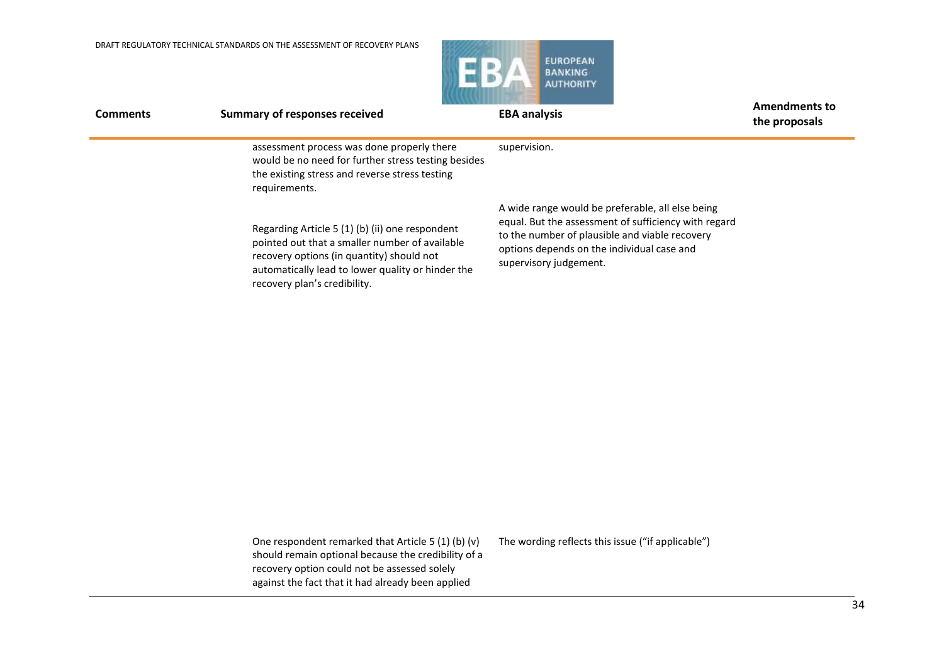

| <b>Comments</b> | <b>Summary of responses received</b>                                                                                                                                                                                                | <b>EBA analysis</b>                                                                                                                                                                                                                | <b>Amendments to</b><br>the proposals |
|-----------------|-------------------------------------------------------------------------------------------------------------------------------------------------------------------------------------------------------------------------------------|------------------------------------------------------------------------------------------------------------------------------------------------------------------------------------------------------------------------------------|---------------------------------------|
|                 | assessment process was done properly there<br>would be no need for further stress testing besides<br>the existing stress and reverse stress testing<br>requirements.                                                                | supervision.                                                                                                                                                                                                                       |                                       |
|                 | Regarding Article 5 (1) (b) (ii) one respondent<br>pointed out that a smaller number of available<br>recovery options (in quantity) should not<br>automatically lead to lower quality or hinder the<br>recovery plan's credibility. | A wide range would be preferable, all else being<br>equal. But the assessment of sufficiency with regard<br>to the number of plausible and viable recovery<br>options depends on the individual case and<br>supervisory judgement. |                                       |

One respondent remarked that Article 5 (1) (b) (v) should remain optional because the credibility of a recovery option could not be assessed solely against the fact that it had already been applied

The wording reflects this issue ("if applicable")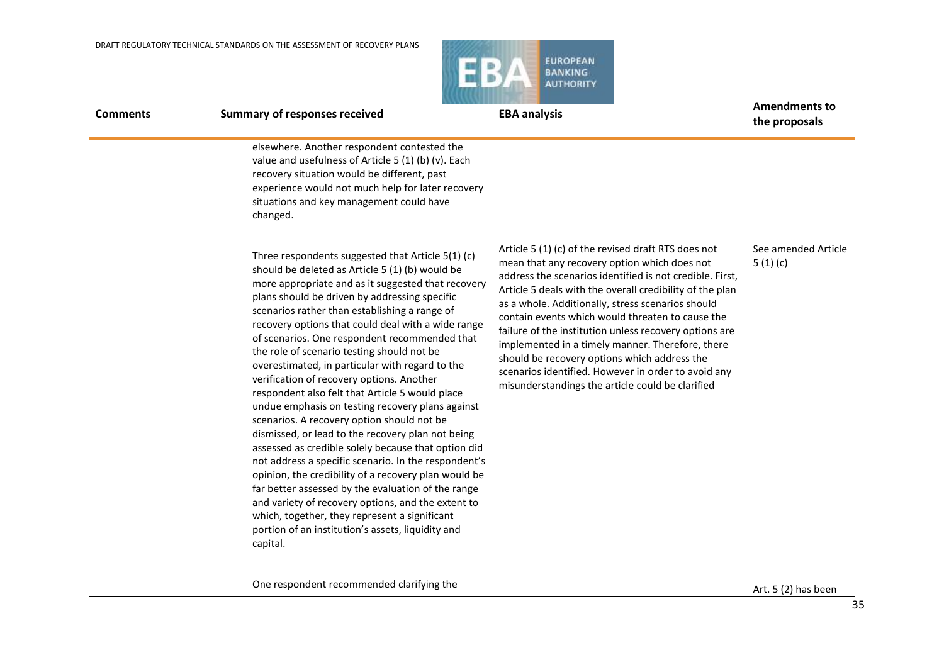

**Comments Summary of responses received EBA analysis EBA analysis Amendments to the proposals**

elsewhere. Another respondent contested the value and usefulness of Article 5 (1) (b) (v). Each recovery situation would be different, past experience would not much help for later recovery situations and key management could have changed.

Three respondents suggested that Article 5(1) (c) should be deleted as Article 5 (1) (b) would be more appropriate and as it suggested that recovery plans should be driven by addressing specific scenarios rather than establishing a range of recovery options that could deal with a wide range of scenarios. One respondent recommended that the role of scenario testing should not be overestimated, in particular with regard to the verification of recovery options. Another respondent also felt that Article 5 would place undue emphasis on testing recovery plans against scenarios. A recovery option should not be dismissed, or lead to the recovery plan not being assessed as credible solely because that option did not address a specific scenario. In the respondent's opinion, the credibility of a recovery plan would be far better assessed by the evaluation of the range and variety of recovery options, and the extent to which, together, they represent a significant portion of an institution's assets, liquidity and capital.

Article 5 (1) (c) of the revised draft RTS does not mean that any recovery option which does not address the scenarios identified is not credible. First, Article 5 deals with the overall credibility of the plan as a whole. Additionally, stress scenarios should contain events which would threaten to cause the failure of the institution unless recovery options are implemented in a timely manner. Therefore, there should be recovery options which address the scenarios identified. However in order to avoid any misunderstandings the article could be clarified

### See amended Article 5 (1) (c)

One respondent recommended clarifying the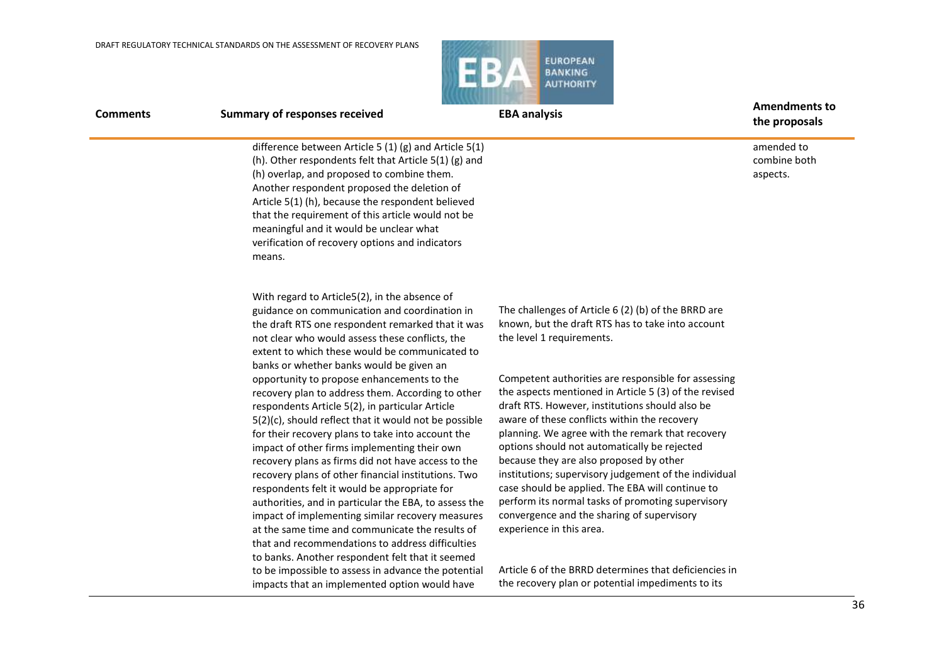

| טוווווכוונ | Sullillary of responses received                                                                                                                                                                                                                                                                                                                                                                                              | LUM GHAIYƏIS                                                                                                                                                                                                                                                                                                                                                   | the proposals                          |
|------------|-------------------------------------------------------------------------------------------------------------------------------------------------------------------------------------------------------------------------------------------------------------------------------------------------------------------------------------------------------------------------------------------------------------------------------|----------------------------------------------------------------------------------------------------------------------------------------------------------------------------------------------------------------------------------------------------------------------------------------------------------------------------------------------------------------|----------------------------------------|
|            | difference between Article 5 (1) (g) and Article 5(1)<br>(h). Other respondents felt that Article 5(1) (g) and<br>(h) overlap, and proposed to combine them.<br>Another respondent proposed the deletion of<br>Article 5(1) (h), because the respondent believed<br>that the requirement of this article would not be<br>meaningful and it would be unclear what<br>verification of recovery options and indicators<br>means. |                                                                                                                                                                                                                                                                                                                                                                | amended to<br>combine both<br>aspects. |
|            | With regard to Article5(2), in the absence of<br>guidance on communication and coordination in<br>the draft RTS one respondent remarked that it was<br>not clear who would assess these conflicts, the<br>extent to which these would be communicated to<br>banks or whether banks would be given an                                                                                                                          | The challenges of Article 6 (2) (b) of the BRRD are<br>known, but the draft RTS has to take into account<br>the level 1 requirements.                                                                                                                                                                                                                          |                                        |
|            | opportunity to propose enhancements to the<br>recovery plan to address them. According to other<br>respondents Article 5(2), in particular Article<br>$5(2)(c)$ , should reflect that it would not be possible<br>for their recovery plans to take into account the<br>impact of other firms implementing their own<br>recovery plans as firms did not have access to the                                                     | Competent authorities are responsible for assessing<br>the aspects mentioned in Article 5 (3) of the revised<br>draft RTS. However, institutions should also be<br>aware of these conflicts within the recovery<br>planning. We agree with the remark that recovery<br>options should not automatically be rejected<br>because they are also proposed by other |                                        |
|            | recovery plans of other financial institutions. Two<br>respondents felt it would be appropriate for<br>authorities, and in particular the EBA, to assess the<br>impact of implementing similar recovery measures                                                                                                                                                                                                              | institutions; supervisory judgement of the individual<br>case should be applied. The EBA will continue to<br>perform its normal tasks of promoting supervisory<br>convergence and the sharing of supervisory                                                                                                                                                   |                                        |

at the same time and communicate the results of that and recommendations to address difficulties to banks. Another respondent felt that it seemed to be impossible to assess in advance the potential impacts that an implemented option would have

experience in this area.

Article 6 of the BRRD determines that deficiencies in the recovery plan or potential impediments to its

36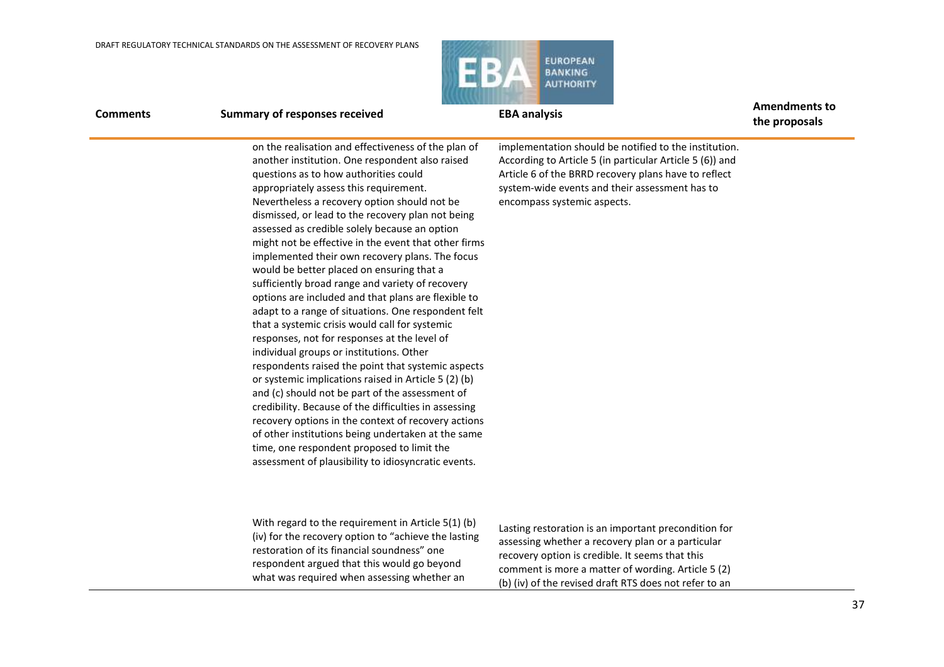

**the proposals**

### **Comments Summary of responses received EBA analysis EBA analysis Amendments to**

on the realisation and effectiveness of the plan of another institution. One respondent also raised questions as to how authorities could appropriately assess this requirement. Nevertheless a recovery option should not be dismissed, or lead to the recovery plan not being assessed as credible solely because an option might not be effective in the event that other firms implemented their own recovery plans. The focus would be better placed on ensuring that a sufficiently broad range and variety of recovery options are included and that plans are flexible to adapt to a range of situations. One respondent felt that a systemic crisis would call for systemic responses, not for responses at the level of individual groups or institutions. Other respondents raised the point that systemic aspects or systemic implications raised in Article 5 (2) (b) and (c) should not be part of the assessment of credibility. Because of the difficulties in assessing recovery options in the context of recovery actions of other institutions being undertaken at the same time, one respondent proposed to limit the assessment of plausibility to idiosyncratic events.

implementation should be notified to the institution. According to Article 5 (in particular Article 5 (6)) and Article 6 of the BRRD recovery plans have to reflect system-wide events and their assessment has to encompass systemic aspects.

With regard to the requirement in Article 5(1) (b) (iv) for the recovery option to "achieve the lasting restoration of its financial soundness" one respondent argued that this would go beyond what was required when assessing whether an

Lasting restoration is an important precondition for assessing whether a recovery plan or a particular recovery option is credible. It seems that this comment is more a matter of wording. Article 5 (2) (b) (iv) of the revised draft RTS does not refer to an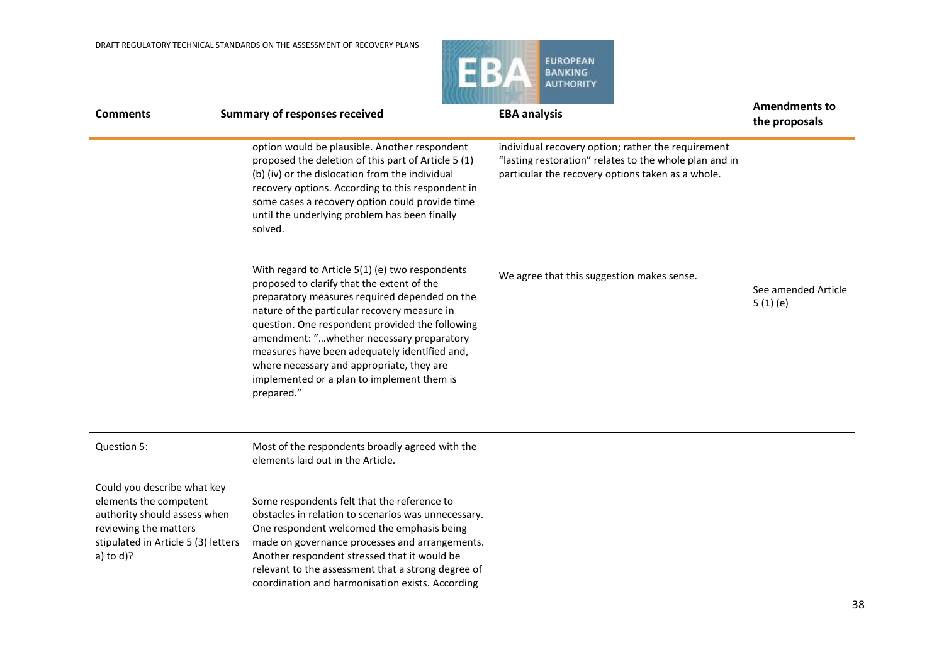

| <b>Comments</b>                                                                                                                                                       | <b>Summary of responses received</b>                                                                                                                                                                                                                                                                                                                                                                                                                     | <b>EBA analysis</b>                                                                                                                                               | <b>Amendments to</b><br>the proposals |
|-----------------------------------------------------------------------------------------------------------------------------------------------------------------------|----------------------------------------------------------------------------------------------------------------------------------------------------------------------------------------------------------------------------------------------------------------------------------------------------------------------------------------------------------------------------------------------------------------------------------------------------------|-------------------------------------------------------------------------------------------------------------------------------------------------------------------|---------------------------------------|
|                                                                                                                                                                       | option would be plausible. Another respondent<br>proposed the deletion of this part of Article 5 (1)<br>(b) (iv) or the dislocation from the individual<br>recovery options. According to this respondent in<br>some cases a recovery option could provide time<br>until the underlying problem has been finally<br>solved.                                                                                                                              | individual recovery option; rather the requirement<br>"lasting restoration" relates to the whole plan and in<br>particular the recovery options taken as a whole. |                                       |
|                                                                                                                                                                       | With regard to Article 5(1) (e) two respondents<br>proposed to clarify that the extent of the<br>preparatory measures required depended on the<br>nature of the particular recovery measure in<br>question. One respondent provided the following<br>amendment: "whether necessary preparatory<br>measures have been adequately identified and,<br>where necessary and appropriate, they are<br>implemented or a plan to implement them is<br>prepared." | We agree that this suggestion makes sense.                                                                                                                        | See amended Article<br>5(1)(e)        |
| Question 5:                                                                                                                                                           | Most of the respondents broadly agreed with the<br>elements laid out in the Article.                                                                                                                                                                                                                                                                                                                                                                     |                                                                                                                                                                   |                                       |
| Could you describe what key<br>elements the competent<br>authority should assess when<br>reviewing the matters<br>stipulated in Article 5 (3) letters<br>a) to $d$ )? | Some respondents felt that the reference to<br>obstacles in relation to scenarios was unnecessary.<br>One respondent welcomed the emphasis being<br>made on governance processes and arrangements.<br>Another respondent stressed that it would be<br>relevant to the assessment that a strong degree of<br>coordination and harmonisation exists. According                                                                                             |                                                                                                                                                                   |                                       |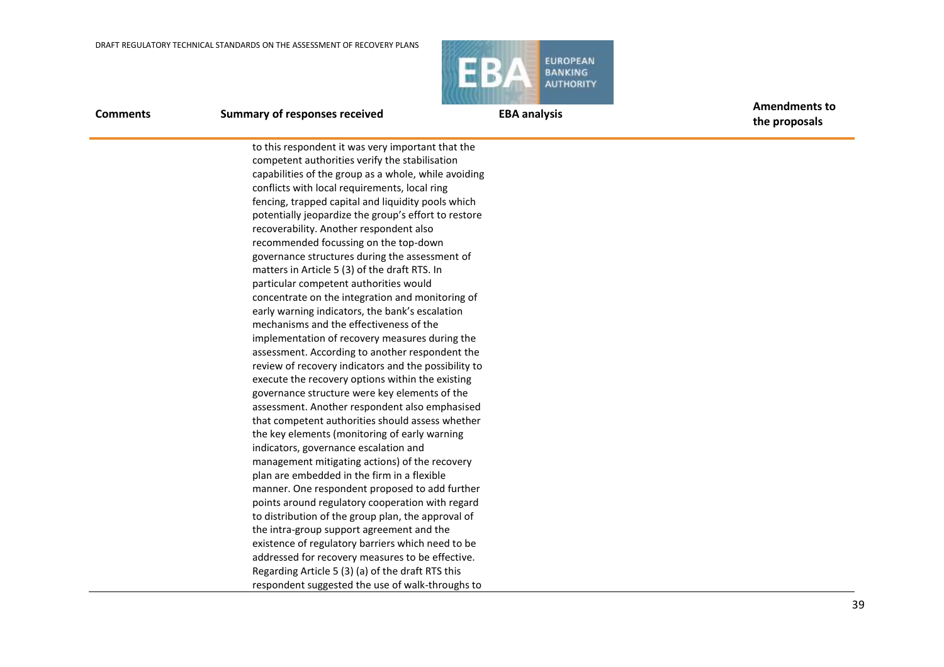

**Comments Summary of responses received EBA analysis EBA analysis Amendments to** 

**the proposals**

to this respondent it was very important that the competent authorities verify the stabilisation capabilities of the group as a whole, while avoiding conflicts with local requirements, local ring fencing, trapped capital and liquidity pools which potentially jeopardize the group's effort to restore recoverability. Another respondent also recommended focussing on the top-down governance structures during the assessment of matters in Article 5 (3) of the draft RTS. In particular competent authorities would concentrate on the integration and monitoring of early warning indicators, the bank's escalation mechanisms and the effectiveness of the implementation of recovery measures during the assessment. According to another respondent the review of recovery indicators and the possibility to execute the recovery options within the existing governance structure were key elements of the assessment. Another respondent also emphasised that competent authorities should assess whether the key elements (monitoring of early warning indicators, governance escalation and management mitigating actions) of the recovery plan are embedded in the firm in a flexible manner. One respondent proposed to add further points around regulatory cooperation with regard to distribution of the group plan, the approval of the intra-group support agreement and the existence of regulatory barriers which need to be addressed for recovery measures to be effective. Regarding Article 5 (3) (a) of the draft RTS this respondent suggested the use of walk-throughs to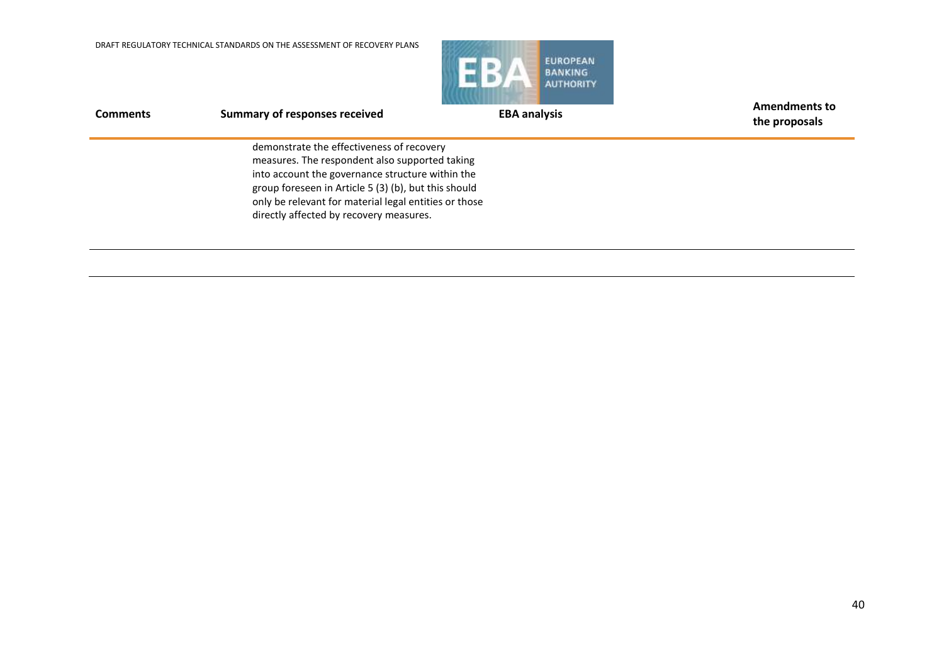

| <b>Comments</b> | <b>Summary of responses received</b>                                                                                                                                                                                                                                                                        | <b>EBA analysis</b> | <b>Amendments to</b><br>the proposals |
|-----------------|-------------------------------------------------------------------------------------------------------------------------------------------------------------------------------------------------------------------------------------------------------------------------------------------------------------|---------------------|---------------------------------------|
|                 | demonstrate the effectiveness of recovery<br>measures. The respondent also supported taking<br>into account the governance structure within the<br>group foreseen in Article 5 (3) (b), but this should<br>only be relevant for material legal entities or those<br>directly affected by recovery measures. |                     |                                       |